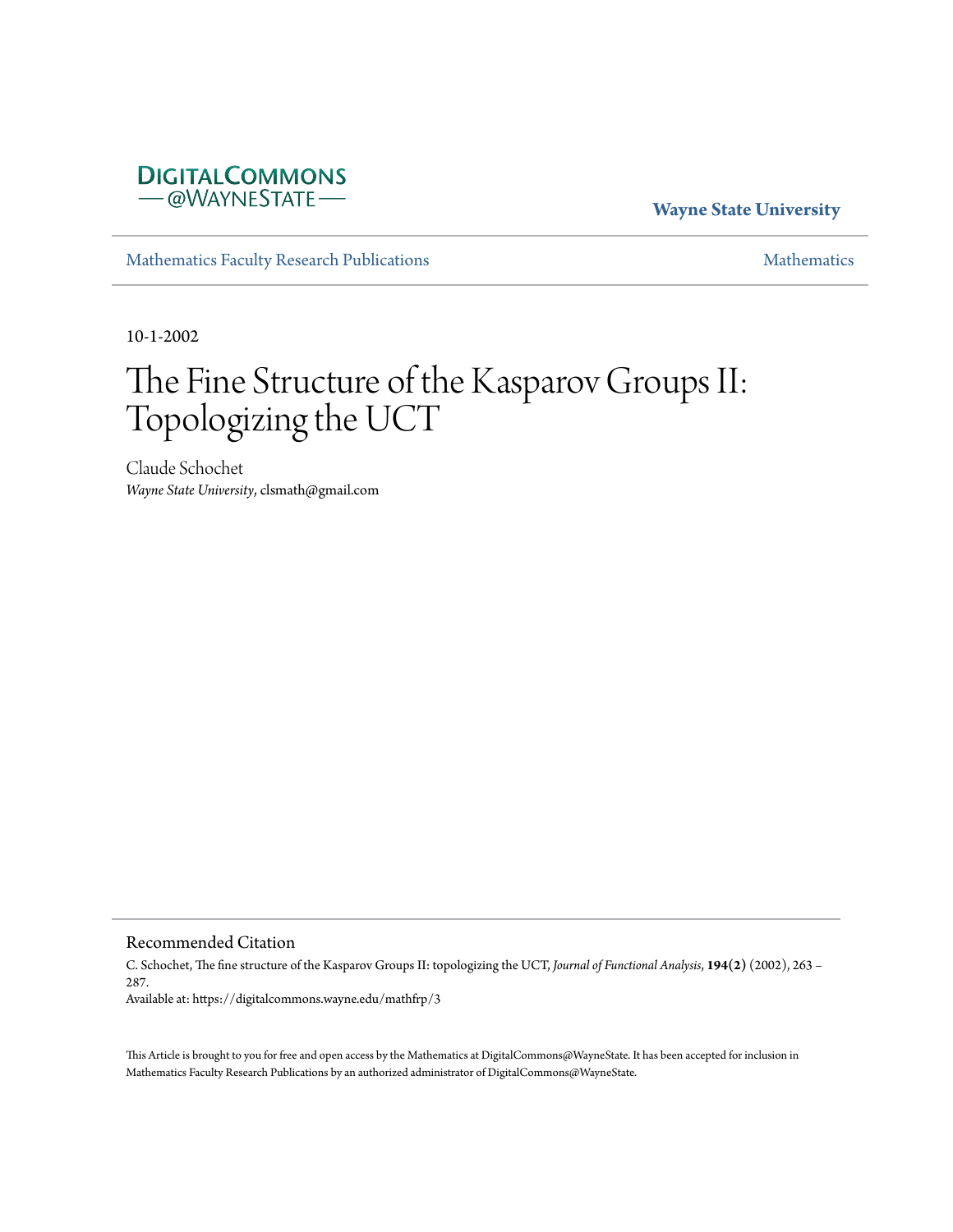

**Wayne State University**

[Mathematics Faculty Research Publications](https://digitalcommons.wayne.edu/mathfrp) **[Mathematics](https://digitalcommons.wayne.edu/math)** Mathematics

10-1-2002

# The Fine Structure of the Kasparov Groups II: Topologizing the UCT

Claude Schochet *Wayne State University*, clsmath@gmail.com

Recommended Citation

C. Schochet, The fine structure of the Kasparov Groups II: topologizing the UCT, *Journal of Functional Analysis*, **194(2)** (2002), 263 – 287. Available at: https://digitalcommons.wayne.edu/mathfrp/3

This Article is brought to you for free and open access by the Mathematics at DigitalCommons@WayneState. It has been accepted for inclusion in Mathematics Faculty Research Publications by an authorized administrator of DigitalCommons@WayneState.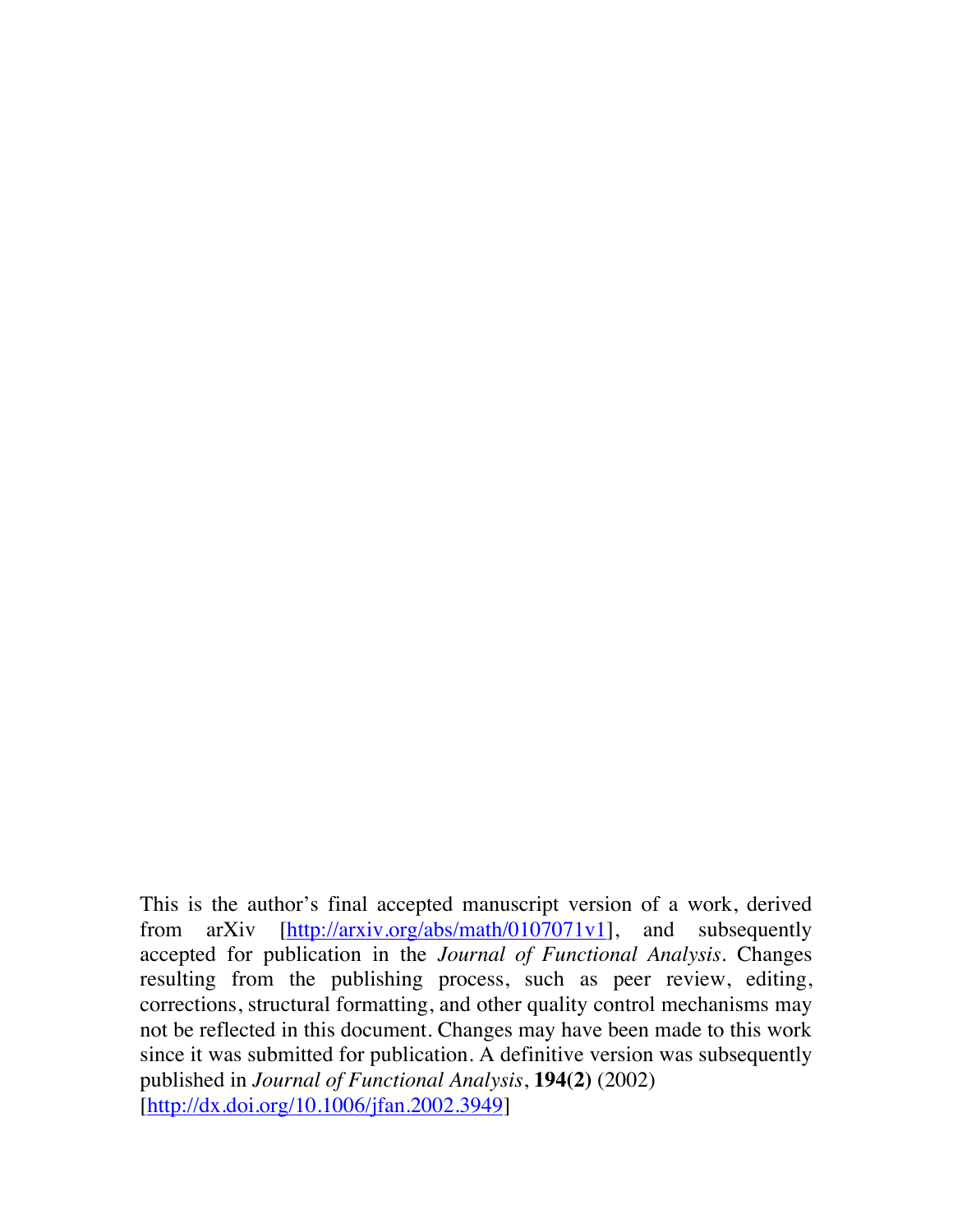This is the author's final accepted manuscript version of a work, derived from arXiv [http://arxiv.org/abs/math/0107071v1], and subsequently accepted for publication in the *Journal of Functional Analysis*. Changes resulting from the publishing process, such as peer review, editing, corrections, structural formatting, and other quality control mechanisms may not be reflected in this document. Changes may have been made to this work since it was submitted for publication. A definitive version was subsequently published in *Journal of Functional Analysis*, **194(2)** (2002) [http://dx.doi.org/10.1006/jfan.2002.3949]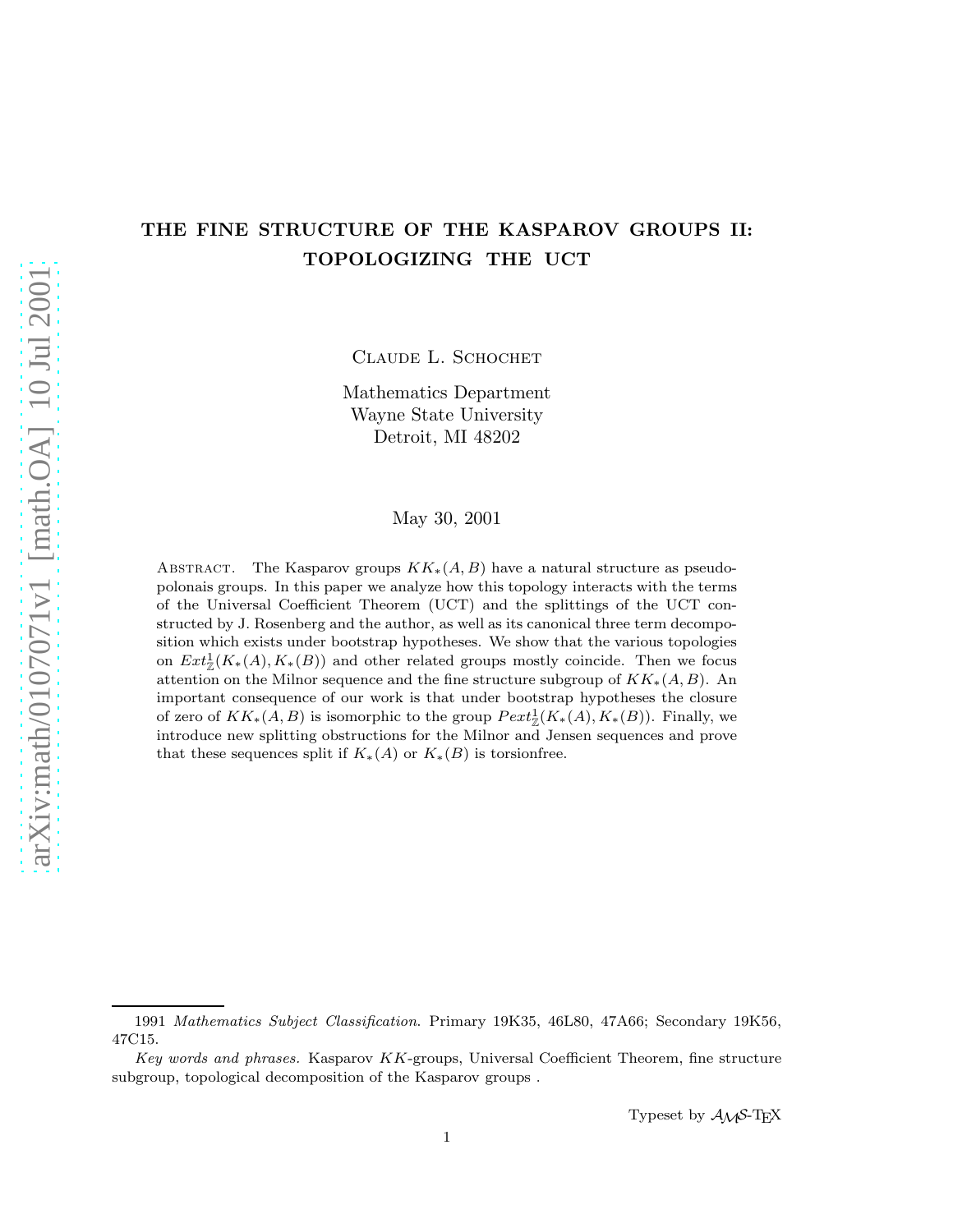# THE FINE STRUCTURE OF THE KASPAROV GROUPS II: TOPOLOGIZING THE UCT

CLAUDE L. SCHOCHET

Mathematics Department Wayne State University Detroit, MI 48202

## May 30, 2001

ABSTRACT. The Kasparov groups  $KK_*(A, B)$  have a natural structure as pseudopolonais groups. In this paper we analyze how this topology interacts with the terms of the Universal Coefficient Theorem (UCT) and the splittings of the UCT constructed by J. Rosenberg and the author, as well as its canonical three term decomposition which exists under bootstrap hypotheses. We show that the various topologies on  $Ext^1_{\mathbb{Z}}(K_*(A), K_*(B))$  and other related groups mostly coincide. Then we focus attention on the Milnor sequence and the fine structure subgroup of  $KK_*(A, B)$ . An important consequence of our work is that under bootstrap hypotheses the closure of zero of  $KK_*(A, B)$  is isomorphic to the group  $Pext_{\mathbb{Z}}^1(K_*(A), K_*(B))$ . Finally, we introduce new splitting obstructions for the Milnor and Jensen sequences and prove that these sequences split if  $K_*(A)$  or  $K_*(B)$  is torsionfree.

<sup>1991</sup> *Mathematics Subject Classification*. Primary 19K35, 46L80, 47A66; Secondary 19K56, 47C15.

*Key words and phrases.* Kasparov KK-groups, Universal Coefficient Theorem, fine structure subgroup, topological decomposition of the Kasparov groups .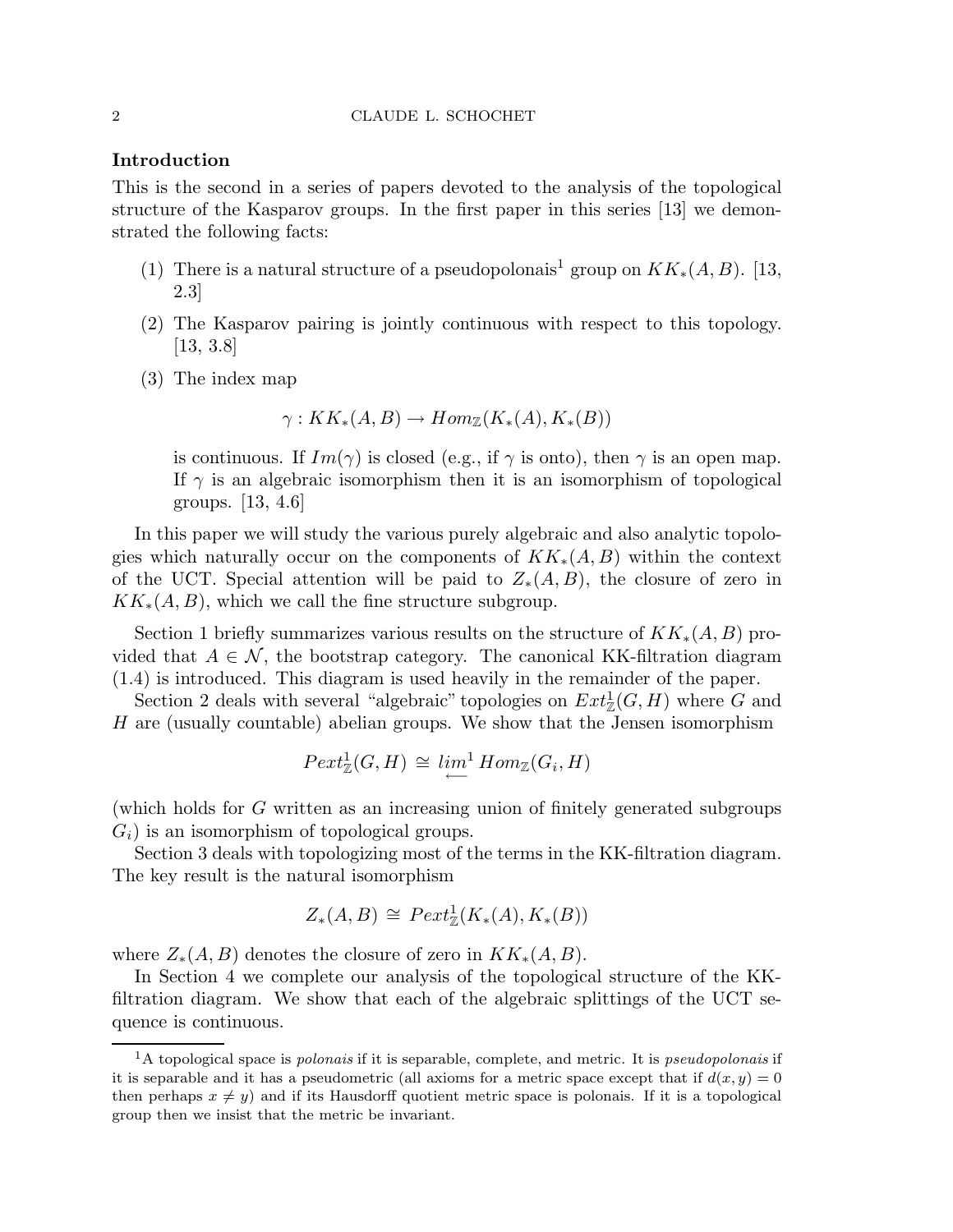# Introduction

This is the second in a series of papers devoted to the analysis of the topological structure of the Kasparov groups. In the first paper in this series [13] we demonstrated the following facts:

- (1) There is a natural structure of a pseudopolonais<sup>1</sup> group on  $KK_*(A, B)$ . [13, 2.3]
- (2) The Kasparov pairing is jointly continuous with respect to this topology.  $[13, 3.8]$
- (3) The index map

$$
\gamma: KK_*(A, B) \to Hom_{\mathbb{Z}}(K_*(A), K_*(B))
$$

is continuous. If  $Im(\gamma)$  is closed (e.g., if  $\gamma$  is onto), then  $\gamma$  is an open map. If  $\gamma$  is an algebraic isomorphism then it is an isomorphism of topological groups. [13, 4.6]

In this paper we will study the various purely algebraic and also analytic topologies which naturally occur on the components of  $KK_*(A, B)$  within the context of the UCT. Special attention will be paid to  $Z_*(A, B)$ , the closure of zero in  $KK_*(A, B)$ , which we call the fine structure subgroup.

Section 1 briefly summarizes various results on the structure of  $KK_*(A, B)$  provided that  $A \in \mathcal{N}$ , the bootstrap category. The canonical KK-filtration diagram (1.4) is introduced. This diagram is used heavily in the remainder of the paper.

Section 2 deals with several "algebraic" topologies on  $Ext^1_{\mathbb{Z}}(G,H)$  where G and H are (usually countable) abelian groups. We show that the Jensen isomorphism

$$
Pext_{\mathbb{Z}}^1(G, H) \cong \lim_{\longleftarrow}^1 Hom_{\mathbb{Z}}(G_i, H)
$$

(which holds for G written as an increasing union of finitely generated subgroups  $G_i$ ) is an isomorphism of topological groups.

Section 3 deals with topologizing most of the terms in the KK-filtration diagram. The key result is the natural isomorphism

$$
Z_*(A, B) \cong \text{Pext}^1_{\mathbb{Z}}(K_*(A), K_*(B))
$$

where  $Z_*(A, B)$  denotes the closure of zero in  $KK_*(A, B)$ .

In Section 4 we complete our analysis of the topological structure of the KKfiltration diagram. We show that each of the algebraic splittings of the UCT sequence is continuous.

<sup>1</sup>A topological space is *polonais* if it is separable, complete, and metric. It is *pseudopolonais* if it is separable and it has a pseudometric (all axioms for a metric space except that if  $d(x, y) = 0$ then perhaps  $x \neq y$ ) and if its Hausdorff quotient metric space is polonais. If it is a topological group then we insist that the metric be invariant.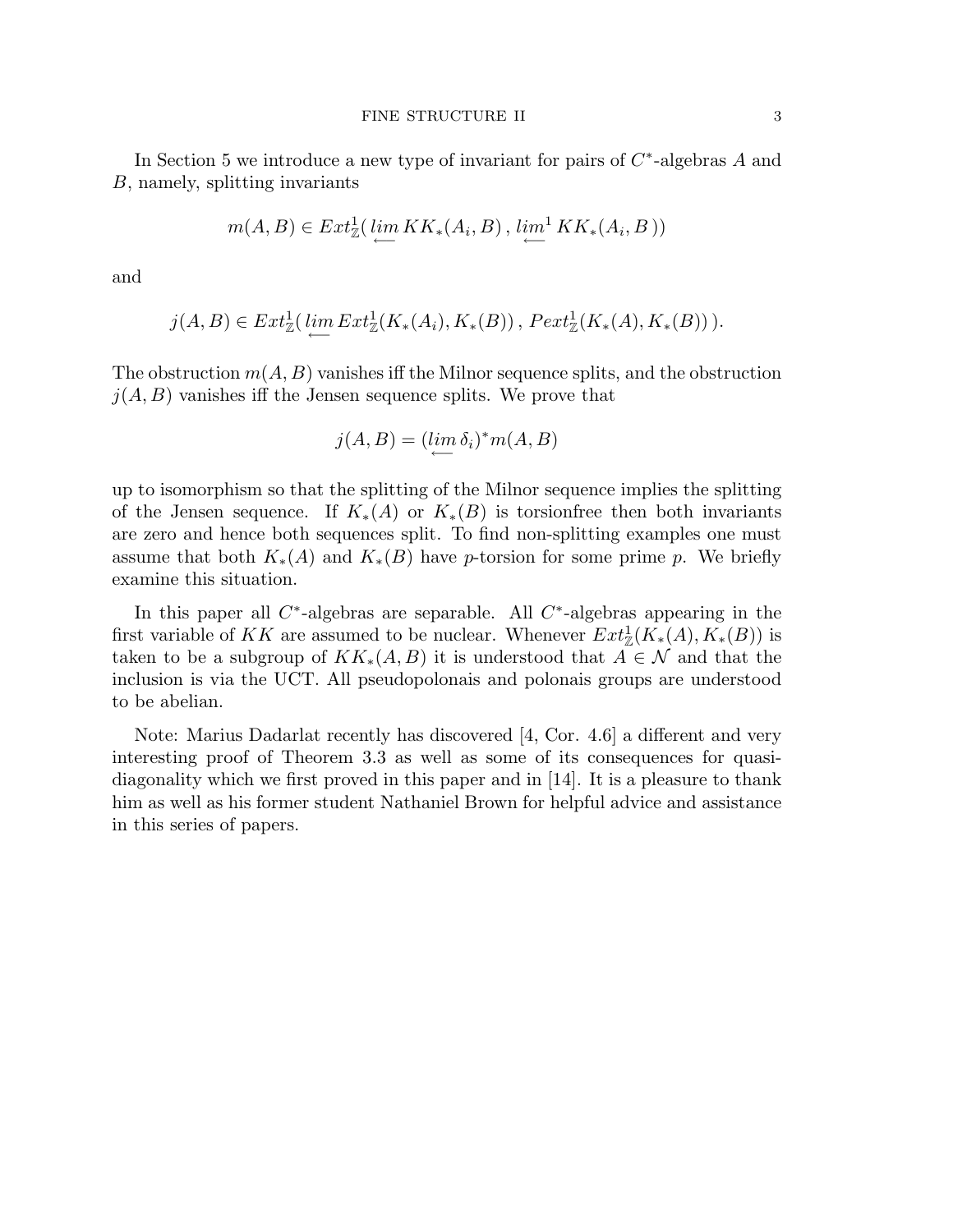In Section 5 we introduce a new type of invariant for pairs of  $C^*$ -algebras A and B, namely, splitting invariants

$$
m(A, B) \in Ext^1_{\mathbb{Z}}(\varprojlim KK_*(A_i, B), \varprojlim^1 KK_*(A_i, B))
$$

and

$$
j(A, B) \in Ext^1_{\mathbb{Z}}(\underleftarrow{\lim}_{\longrightarrow} Ext^1_{\mathbb{Z}}(K_*(A_i), K_*(B)), \, \text{Pext}^1_{\mathbb{Z}}(K_*(A), K_*(B))).
$$

The obstruction  $m(A, B)$  vanishes iff the Milnor sequence splits, and the obstruction  $j(A, B)$  vanishes iff the Jensen sequence splits. We prove that

$$
j(A, B) = (\lim_{\longleftarrow} \delta_i)^* m(A, B)
$$

up to isomorphism so that the splitting of the Milnor sequence implies the splitting of the Jensen sequence. If  $K_*(A)$  or  $K_*(B)$  is torsionfree then both invariants are zero and hence both sequences split. To find non-splitting examples one must assume that both  $K_*(A)$  and  $K_*(B)$  have p-torsion for some prime p. We briefly examine this situation.

In this paper all  $C^*$ -algebras are separable. All  $C^*$ -algebras appearing in the first variable of KK are assumed to be nuclear. Whenever  $Ext^1_{\mathbb{Z}}(K_*(A), K_*(B))$  is taken to be a subgroup of  $KK_*(A, B)$  it is understood that  $A \in \mathcal{N}$  and that the inclusion is via the UCT. All pseudopolonais and polonais groups are understood to be abelian.

Note: Marius Dadarlat recently has discovered [4, Cor. 4.6] a different and very interesting proof of Theorem 3.3 as well as some of its consequences for quasidiagonality which we first proved in this paper and in [14]. It is a pleasure to thank him as well as his former student Nathaniel Brown for helpful advice and assistance in this series of papers.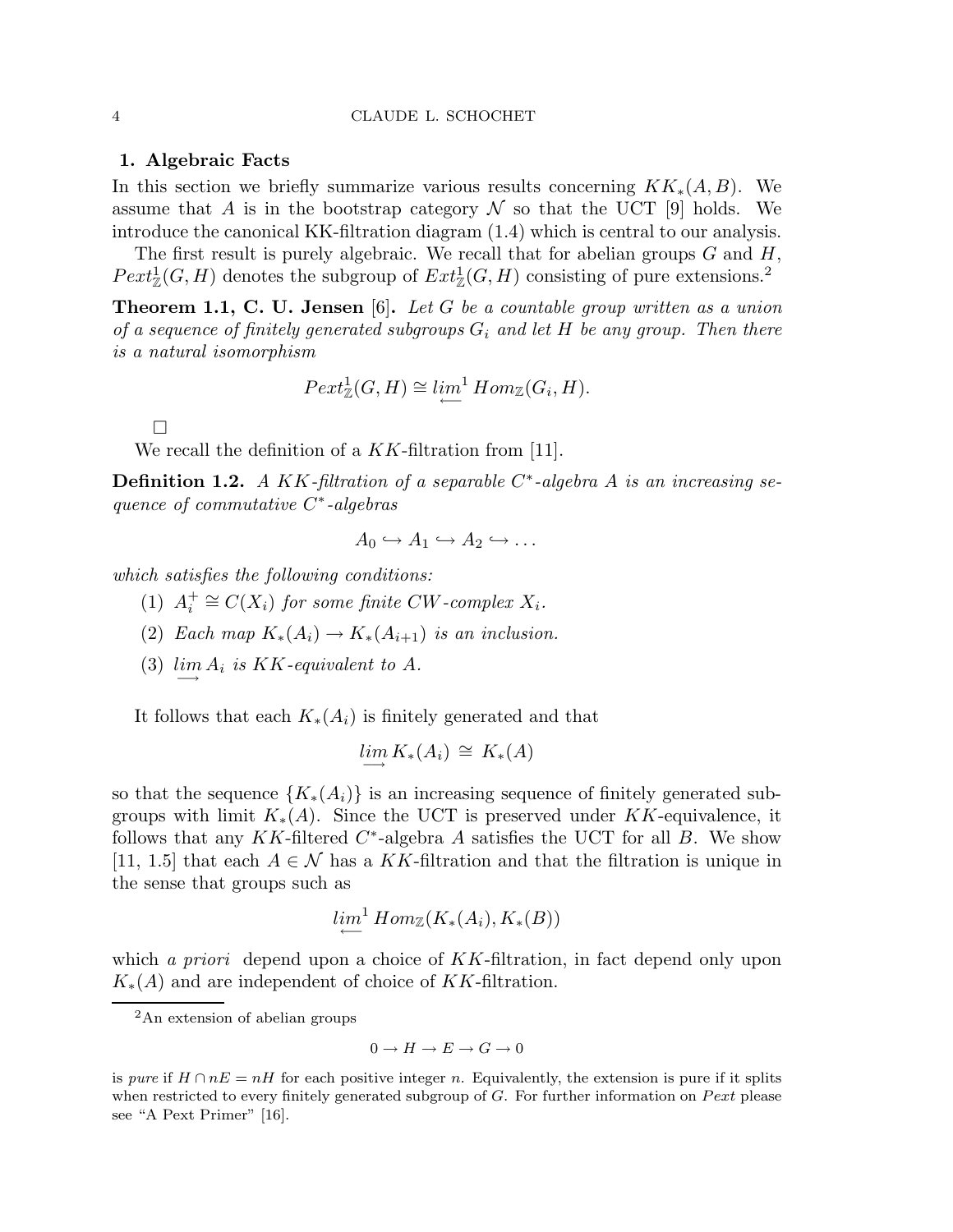# 1. Algebraic Facts

In this section we briefly summarize various results concerning  $KK_*(A, B)$ . We assume that A is in the bootstrap category  $\mathcal N$  so that the UCT [9] holds. We introduce the canonical KK-filtration diagram (1.4) which is central to our analysis.

The first result is purely algebraic. We recall that for abelian groups  $G$  and  $H$ ,  $Pext_{\mathbb{Z}}^1(G,H)$  denotes the subgroup of  $Ext_{\mathbb{Z}}^1(G,H)$  consisting of pure extensions.<sup>2</sup>

Theorem 1.1, C. U. Jensen [6]. *Let* G *be a countable group written as a union of a sequence of finitely generated subgroups* G<sup>i</sup> *and let* H *be any group. Then there is a natural isomorphism*

$$
Pext_{\mathbb{Z}}^1(G, H) \cong \lim_{\longleftarrow}^1 Hom_{\mathbb{Z}}(G_i, H).
$$

 $\Box$ 

We recall the definition of a  $KK$ -filtration from [11].

Definition 1.2. *A* KK*-filtration of a separable* C ∗ *-algebra* A *is an increasing sequence of commutative* C ∗ *-algebras*

$$
A_0 \hookrightarrow A_1 \hookrightarrow A_2 \hookrightarrow \dots
$$

*which satisfies the following conditions:*

- $(1) A_i^+$  $i_i^+ \cong C(X_i)$  *for some finite CW*-complex  $X_i$ .
- (2) *Each map*  $K_*(A_i) \to K_*(A_{i+1})$  *is an inclusion.*
- (3)  $\lim_{n \to \infty} A_i$  *is* KK-equivalent to A.

It follows that each  $K_*(A_i)$  is finitely generated and that

$$
\lim_{\longrightarrow} K_*(A_i) \cong K_*(A)
$$

so that the sequence  ${K_*(A_i)}$  is an increasing sequence of finitely generated subgroups with limit  $K_*(A)$ . Since the UCT is preserved under KK-equivalence, it follows that any  $KK$ -filtered  $C^*$ -algebra A satisfies the UCT for all B. We show [11, 1.5] that each  $A \in \mathcal{N}$  has a KK-filtration and that the filtration is unique in the sense that groups such as

$$
\lim_{\longleftarrow}^1 Hom_{\mathbb{Z}}(K_*(A_i), K_*(B))
$$

which *a priori* depend upon a choice of KK-filtration, in fact depend only upon  $K_*(A)$  and are independent of choice of KK-filtration.

<sup>2</sup>An extension of abelian groups

 $0 \to H \to E \to G \to 0$ 

is *pure* if  $H \cap nE = nH$  for each positive integer n. Equivalently, the extension is pure if it splits when restricted to every finitely generated subgroup of  $G$ . For further information on  $Pext$  please see "A Pext Primer" [16].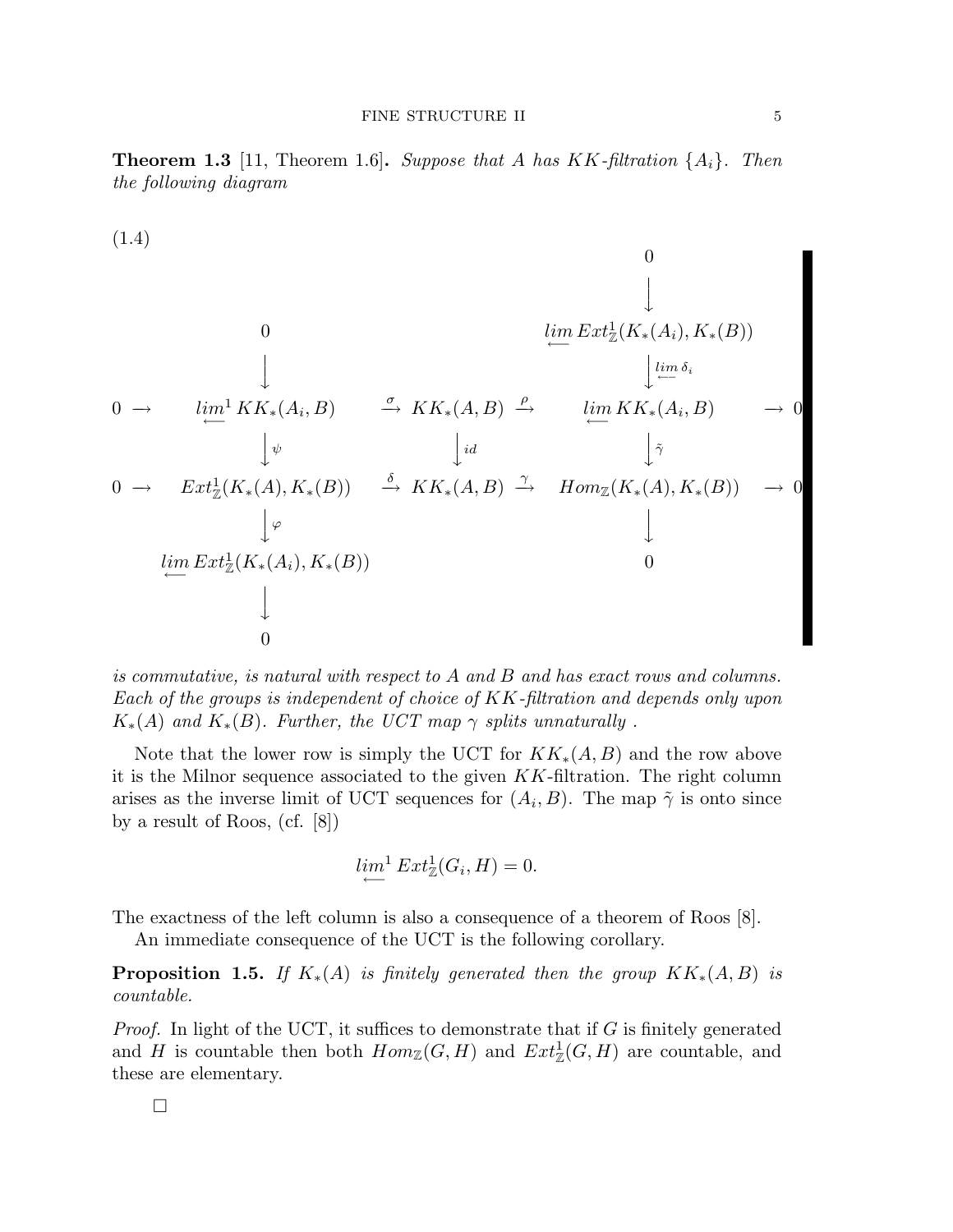Theorem 1.3 [11, Theorem 1.6]. *Suppose that* A *has* KK*-filtration* {Ai}*. Then the following diagram*

$$
(1.4)
$$
\n
$$
\downarrow
$$
\n
$$
0
$$
\n
$$
\downarrow
$$
\n
$$
0 \rightarrow \lim_{\longleftarrow} K K_{*}(A_{i}, B) \xrightarrow{\sigma} K K_{*}(A, B) \xrightarrow{\rho} \lim_{\longleftarrow} K K_{*}(A_{i}, B) \rightarrow 0
$$
\n
$$
\downarrow \psi
$$
\n
$$
0 \rightarrow \operatorname{Ext}_{\mathbb{Z}}^{1}(K_{*}(A), K_{*}(B)) \xrightarrow{\delta} K K_{*}(A, B) \xrightarrow{\gamma} \operatorname{Hom}_{\mathbb{Z}}(K_{*}(A), K_{*}(B)) \rightarrow 0
$$
\n
$$
\downarrow \varphi
$$
\n
$$
\downarrow \varphi
$$
\n
$$
\downarrow \varphi
$$
\n
$$
\downarrow \varphi
$$
\n
$$
\downarrow \varphi
$$
\n
$$
\downarrow \varphi
$$
\n
$$
\downarrow
$$
\n
$$
\downarrow
$$
\n
$$
\downarrow
$$
\n
$$
\downarrow
$$
\n
$$
\downarrow
$$
\n
$$
\downarrow
$$
\n
$$
\downarrow
$$
\n
$$
\downarrow
$$
\n
$$
\downarrow
$$
\n
$$
\downarrow
$$
\n
$$
\downarrow
$$
\n
$$
\downarrow
$$
\n
$$
\downarrow
$$
\n
$$
\downarrow
$$
\n
$$
\downarrow
$$
\n
$$
\downarrow
$$
\n
$$
\downarrow
$$
\n
$$
\downarrow
$$
\n
$$
\downarrow
$$
\n
$$
\downarrow
$$
\n
$$
\downarrow
$$
\n
$$
\downarrow
$$
\n
$$
\downarrow
$$
\n
$$
\downarrow
$$
\n
$$
\downarrow
$$
\n
$$
\downarrow
$$
\n
$$
\downarrow
$$
\n
$$
\downarrow
$$
\n
$$
\downarrow
$$
\n
$$
\downarrow
$$
\n
$$
\downarrow
$$
\n
$$
\downarrow
$$
\n
$$
\downarrow
$$
\n
$$
\downarrow
$$
\n
$$
\downarrow
$$
\n
$$
\downarrow
$$
\n
$$
\downarrow
$$
\n $$ 

*is commutative, is natural with respect to* A *and* B *and has exact rows and columns. Each of the groups is independent of choice of* KK*-filtration and depends only upon*  $K_*(A)$  *and*  $K_*(B)$ *. Further, the UCT map*  $\gamma$  *splits unnaturally*.

Note that the lower row is simply the UCT for  $KK_*(A, B)$  and the row above it is the Milnor sequence associated to the given KK-filtration. The right column arises as the inverse limit of UCT sequences for  $(A_i, B)$ . The map  $\tilde{\gamma}$  is onto since by a result of Roos, (cf. [8])

$$
\lim_{\longleftarrow} \mathcal{E}xt_{\mathbb{Z}}^1(G_i, H) = 0.
$$

The exactness of the left column is also a consequence of a theorem of Roos [8].

An immediate consequence of the UCT is the following corollary.

**Proposition 1.5.** *If*  $K_*(A)$  *is finitely generated then the group*  $KK_*(A, B)$  *is countable.*

*Proof.* In light of the UCT, it suffices to demonstrate that if G is finitely generated and H is countable then both  $Hom_{\mathbb{Z}}(G,H)$  and  $Ext^1_{\mathbb{Z}}(G,H)$  are countable, and these are elementary.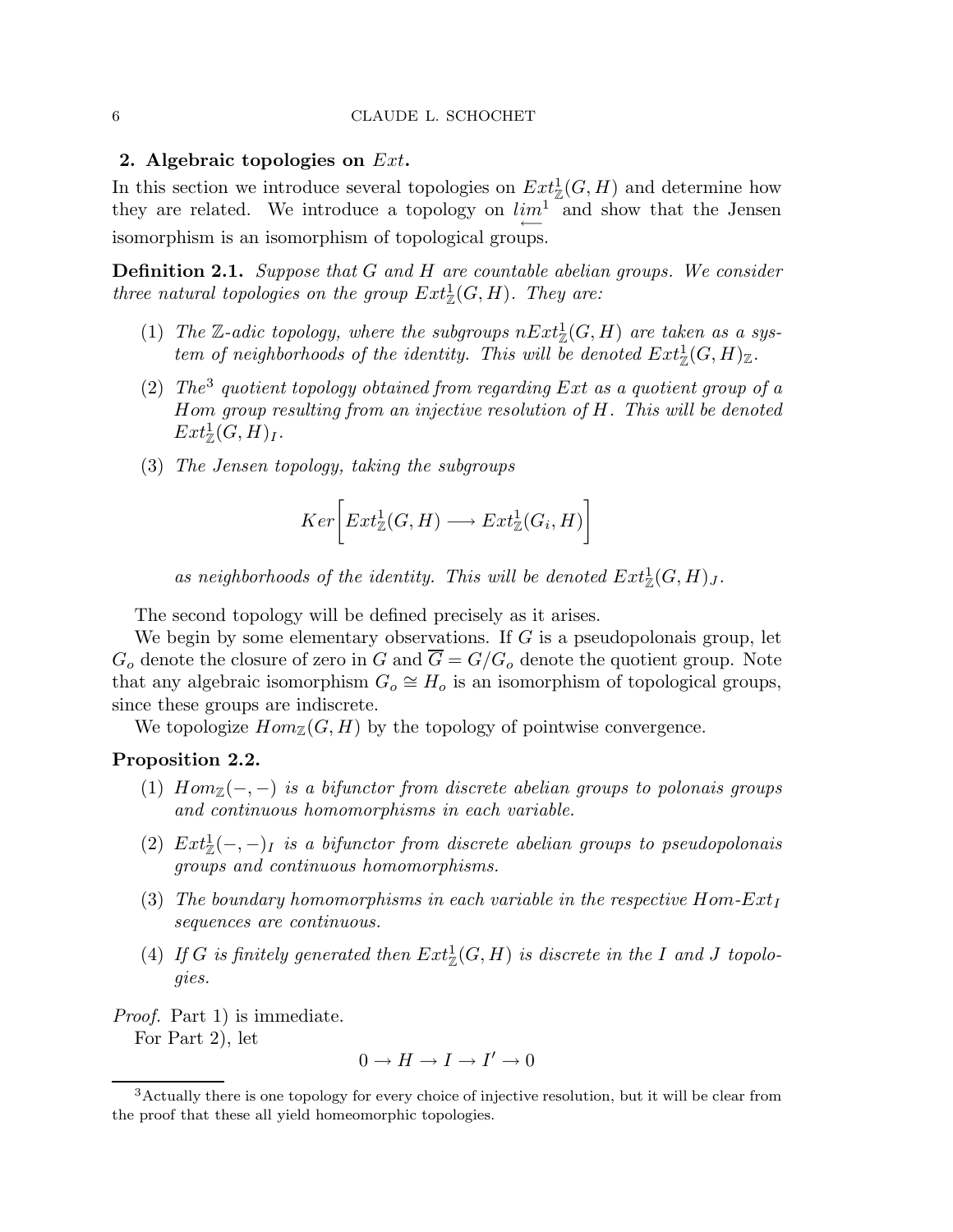# 2. Algebraic topologies on  $Ext.$

In this section we introduce several topologies on  $Ext^1_{\mathbb{Z}}(G,H)$  and determine how they are related. We introduce a topology on  $\lim_{n \to \infty} \frac{1}{n}$  and show that the Jensen isomorphism is an isomorphism of topological groups.

Definition 2.1. *Suppose that* G *and* H *are countable abelian groups. We consider three natural topologies on the group*  $Ext^1_{\mathbb{Z}}(G,H)$ *. They are:* 

- (1) The  $\mathbb{Z}\text{-}adic topology, where the subgroups  $nExt_{\mathbb{Z}}^1(G,H)$  are taken as a sys$ *tem of neighborhoods of the identity. This will be denoted*  $Ext^1_{\mathbb{Z}}(G,H)_{\mathbb{Z}}$ .
- (2) *The*<sup>3</sup> *quotient topology obtained from regarding* Ext *as a quotient group of a* Hom *group resulting from an injective resolution of* H*. This will be denoted*  $Ext^1_{\mathbb{Z}}(G,H)_I.$
- (3) *The Jensen topology, taking the subgroups*

$$
Ker\bigg[Ext^1_{\mathbb{Z}}(G,H)\longrightarrow Ext^1_{\mathbb{Z}}(G_i,H)\bigg]
$$

as neighborhoods of the identity. This will be denoted  $Ext^1_{\mathbb{Z}}(G,H)_J$ .

The second topology will be defined precisely as it arises.

We begin by some elementary observations. If  $G$  is a pseudopolonais group, let  $G<sub>o</sub>$  denote the closure of zero in G and  $\overline{G} = G/G<sub>o</sub>$  denote the quotient group. Note that any algebraic isomorphism  $G_o \cong H_o$  is an isomorphism of topological groups, since these groups are indiscrete.

We topologize  $Hom_{\mathbb{Z}}(G, H)$  by the topology of pointwise convergence.

# Proposition 2.2.

- (1)  $Hom_{\mathbb{Z}}(-,-)$  *is a bifunctor from discrete abelian groups to polonais groups and continuous homomorphisms in each variable.*
- (2)  $Ext_{\mathbb{Z}}^1(-,-)_I$  *is a bifunctor from discrete abelian groups to pseudopolonais groups and continuous homomorphisms.*
- (3) The boundary homomorphisms in each variable in the respective  $Hom$ - $Ext_I$ *sequences are continuous.*
- (4) If G is finitely generated then  $Ext^1_{\mathbb{Z}}(G,H)$  is discrete in the I and J topolo*gies.*

*Proof.* Part 1) is immediate.

For Part 2), let

$$
0 \to H \to I \to I' \to 0
$$

<sup>3</sup>Actually there is one topology for every choice of injective resolution, but it will be clear from the proof that these all yield homeomorphic topologies.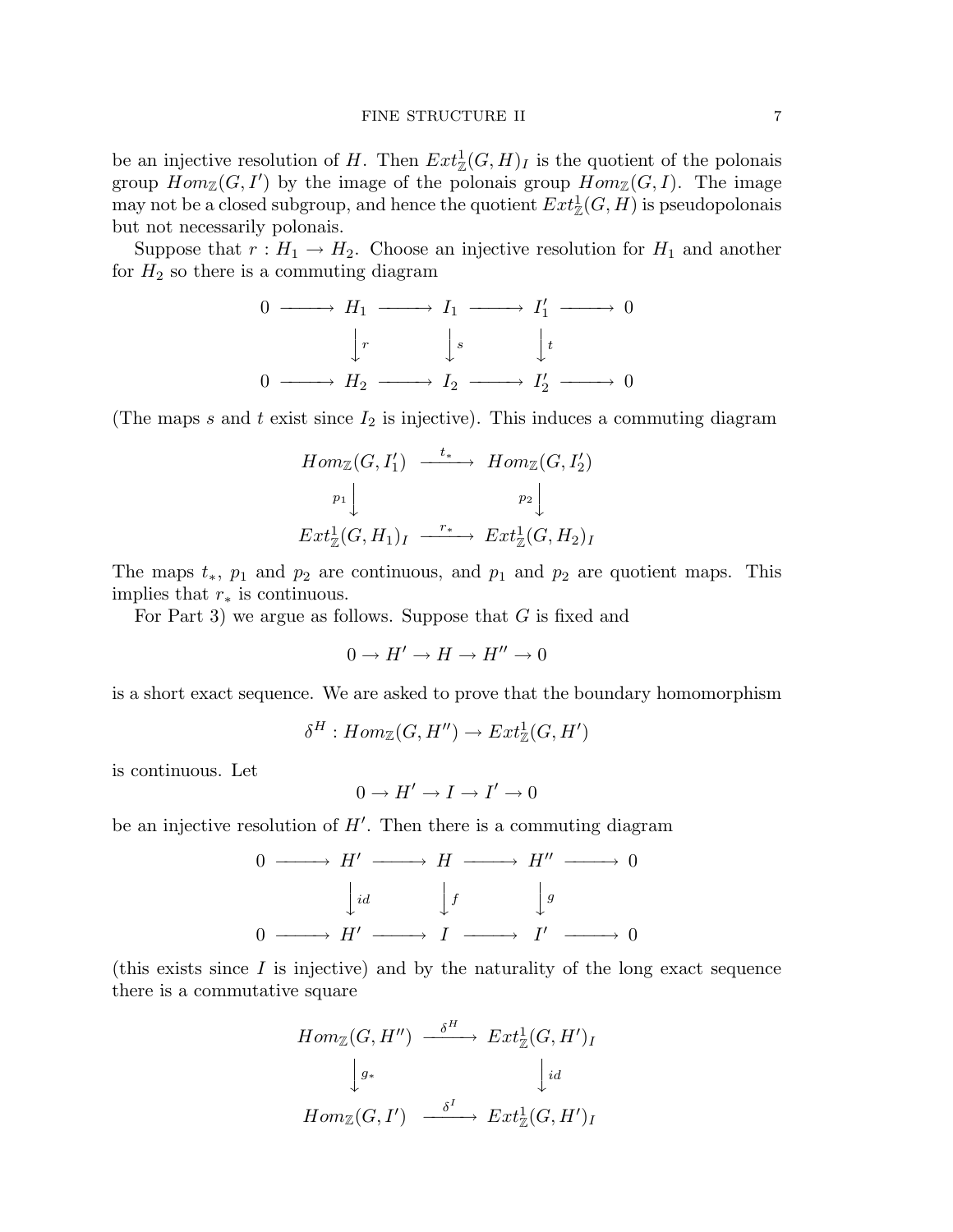#### FINE STRUCTURE II 7

be an injective resolution of H. Then  $Ext^1_{\mathbb{Z}}(G,H)_I$  is the quotient of the polonais group  $Hom_{\mathbb{Z}}(G, I')$  by the image of the polonais group  $Hom_{\mathbb{Z}}(G, I)$ . The image may not be a closed subgroup, and hence the quotient  $Ext^1_{\mathbb{Z}}(G, H)$  is pseudopolonais but not necessarily polonais.

Suppose that  $r : H_1 \to H_2$ . Choose an injective resolution for  $H_1$  and another for  $H_2$  so there is a commuting diagram

$$
0 \longrightarrow H_1 \longrightarrow I_1 \longrightarrow I'_1 \longrightarrow 0
$$
  

$$
\downarrow r \qquad \downarrow s \qquad \downarrow t
$$
  

$$
0 \longrightarrow H_2 \longrightarrow I_2 \longrightarrow I'_2 \longrightarrow 0
$$

(The maps s and t exist since  $I_2$  is injective). This induces a commuting diagram

$$
Hom_{\mathbb{Z}}(G, I'_1) \xrightarrow{t_*} Hom_{\mathbb{Z}}(G, I'_2)
$$
  
\n
$$
p_1 \downarrow \qquad p_2 \downarrow
$$
  
\n
$$
Ext^1_{\mathbb{Z}}(G, H_1)_I \xrightarrow{r_*} Ext^1_{\mathbb{Z}}(G, H_2)_I
$$

The maps  $t_*, p_1$  and  $p_2$  are continuous, and  $p_1$  and  $p_2$  are quotient maps. This implies that  $r_*$  is continuous.

For Part 3) we argue as follows. Suppose that G is fixed and

$$
0 \to H' \to H \to H'' \to 0
$$

is a short exact sequence. We are asked to prove that the boundary homomorphism

$$
\delta^H: Hom_{\mathbb{Z}}(G, H'') \to Ext^1_{\mathbb{Z}}(G, H')
$$

is continuous. Let

$$
0 \to H' \to I \to I' \to 0
$$

be an injective resolution of  $H'$ . Then there is a commuting diagram

$$
0 \longrightarrow H' \longrightarrow H \longrightarrow H'' \longrightarrow 0
$$
  
\n
$$
\downarrow id \qquad \qquad \downarrow f \qquad \qquad \downarrow g
$$
  
\n
$$
0 \longrightarrow H' \longrightarrow I \longrightarrow I' \longrightarrow 0
$$

(this exists since  $I$  is injective) and by the naturality of the long exact sequence there is a commutative square

$$
Hom_{\mathbb{Z}}(G, H'') \xrightarrow{\delta^H} Ext^1_{\mathbb{Z}}(G, H')_I
$$

$$
\downarrow g_*
$$

$$
Hom_{\mathbb{Z}}(G, I') \xrightarrow{\delta^I} Ext^1_{\mathbb{Z}}(G, H')_I
$$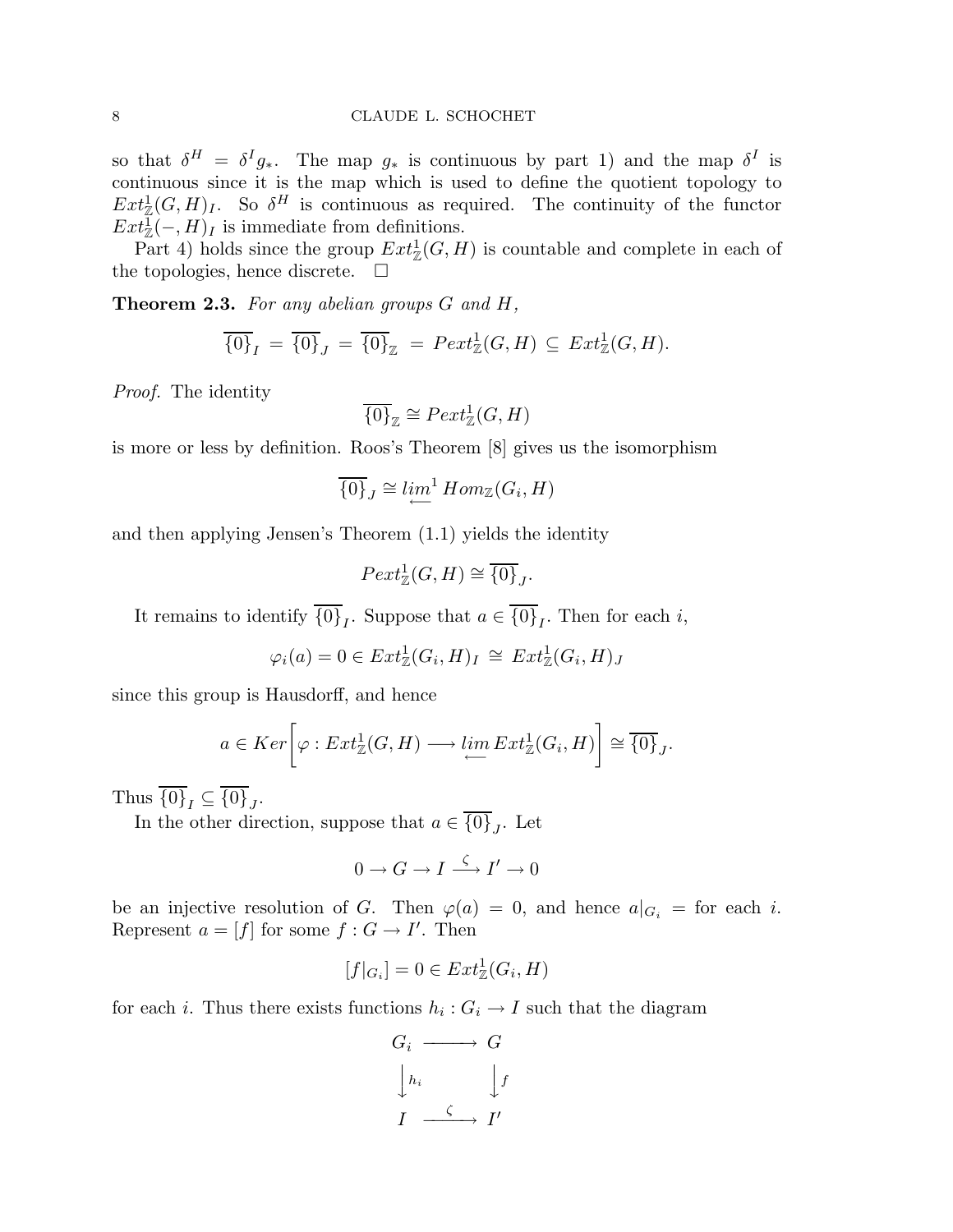so that  $\delta^H = \delta^I g_*$ . The map  $g_*$  is continuous by part 1) and the map  $\delta^I$  is continuous since it is the map which is used to define the quotient topology to  $Ext^1_{\mathbb{Z}}(G,H)_I$ . So  $\delta^H$  is continuous as required. The continuity of the functor  $Ext_{\mathbb{Z}}^{\mathbb{T}}(-,H)_I$  is immediate from definitions.

Part 4) holds since the group  $Ext^1_{\mathbb{Z}}(G,H)$  is countable and complete in each of the topologies, hence discrete.  $\square$ 

Theorem 2.3. *For any abelian groups* G *and* H*,*

$$
\overline{\{0\}}_I = \overline{\{0\}}_J = \overline{\{0\}}_{\mathbb{Z}} = \overline{Pext_{\mathbb{Z}}^1(G, H)} \subseteq \operatorname{Ext}^1_{\mathbb{Z}}(G, H).
$$

*Proof.* The identity

$$
\overline{\{0\}}_{\mathbb{Z}} \cong \text{Pext}^1_{\mathbb{Z}}(G, H)
$$

is more or less by definition. Roos's Theorem [8] gives us the isomorphism

$$
\overline{\{0\}}_J \cong \lim_{\longleftarrow}^1 Hom_{\mathbb{Z}}(G_i, H)
$$

and then applying Jensen's Theorem (1.1) yields the identity

 $Pext_{\mathbb{Z}}^1(G,H) \cong \overline{\{0\}}_J.$ 

It remains to identify  $\{0\}_I$ . Suppose that  $a \in \{0\}_I$ . Then for each *i*,

$$
\varphi_i(a) = 0 \in Ext^1_{\mathbb{Z}}(G_i, H)_I \cong Ext^1_{\mathbb{Z}}(G_i, H)_J
$$

since this group is Hausdorff, and hence

$$
a \in Ker\left[\varphi: Ext^1_{\mathbb{Z}}(G,H) \longrightarrow \lim_{\longleftarrow} Ext^1_{\mathbb{Z}}(G_i,H)\right] \cong \overline{\{0\}}_J.
$$

Thus  $\{0\}_I \subseteq \{0\}_J$ .

In the other direction, suppose that  $a \in \{0\}_J$ . Let

$$
0\to G\to I\stackrel{\zeta}{\longrightarrow} I'\to 0
$$

be an injective resolution of G. Then  $\varphi(a) = 0$ , and hence  $a|_{G_i} =$  for each i. Represent  $a = [f]$  for some  $f : G \to I'$ . Then

$$
[f|_{G_i}] = 0 \in Ext^1_{\mathbb{Z}}(G_i, H)
$$

for each *i*. Thus there exists functions  $h_i: G_i \to I$  such that the diagram

$$
G_i \longrightarrow G
$$
  
\n
$$
\downarrow h_i \qquad \qquad \downarrow f
$$
  
\n
$$
I \xrightarrow{\zeta} I'
$$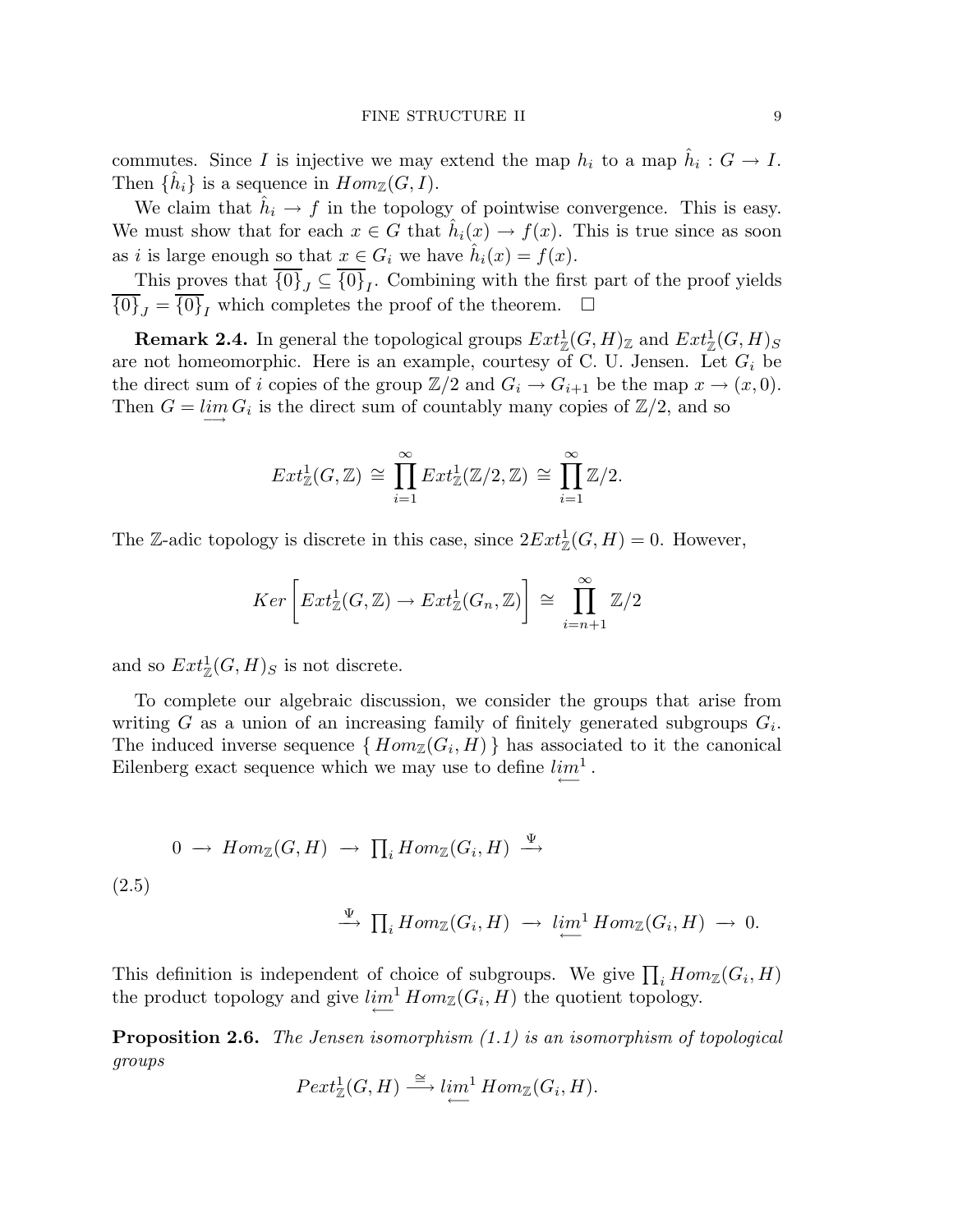commutes. Since I is injective we may extend the map  $h_i$  to a map  $\hat{h}_i : G \to I$ . Then  $\{\hat{h}_i\}$  is a sequence in  $Hom_{\mathbb{Z}}(G, I)$ .

We claim that  $\hat{h}_i \to f$  in the topology of pointwise convergence. This is easy. We must show that for each  $x \in G$  that  $\hat{h}_i(x) \to f(x)$ . This is true since as soon as *i* is large enough so that  $x \in G_i$  we have  $\hat{h}_i(x) = f(x)$ .

This proves that  $\{0\}_J \subseteq \{0\}_I$ . Combining with the first part of the proof yields  ${\overline{0}}J_J = {\overline{0}}J_J$  which completes the proof of the theorem.  $\square$ 

**Remark 2.4.** In general the topological groups  $Ext^1_{\mathbb{Z}}(G,H)_{\mathbb{Z}}$  and  $Ext^1_{\mathbb{Z}}(G,H)_{S}$ are not homeomorphic. Here is an example, courtesy of C. U. Jensen. Let  $G_i$  be the direct sum of i copies of the group  $\mathbb{Z}/2$  and  $G_i \to G_{i+1}$  be the map  $x \to (x, 0)$ . Then  $G = \lim_{n \to \infty} G_i$  is the direct sum of countably many copies of  $\mathbb{Z}/2$ , and so

$$
Ext^1_{\mathbb{Z}}(G,\mathbb{Z}) \cong \prod_{i=1}^{\infty} Ext^1_{\mathbb{Z}}(\mathbb{Z}/2,\mathbb{Z}) \cong \prod_{i=1}^{\infty} \mathbb{Z}/2.
$$

The Z-adic topology is discrete in this case, since  $2Ext_{\mathbb{Z}}^1(G, H) = 0$ . However,

$$
Ker\left[Ext^1_{\mathbb{Z}}(G,\mathbb{Z}) \to Ext^1_{\mathbb{Z}}(G_n,\mathbb{Z})\right] \cong \prod_{i=n+1}^{\infty} \mathbb{Z}/2
$$

and so  $Ext^1_{\mathbb{Z}}(G,H)_S$  is not discrete.

To complete our algebraic discussion, we consider the groups that arise from writing G as a union of an increasing family of finitely generated subgroups  $G_i$ . The induced inverse sequence  $\{Hom_{\mathbb{Z}}(G_i, H)\}$  has associated to it the canonical Eilenberg exact sequence which we may use to define  $\lim_{\leftarrow}$ <sup>1</sup>.

$$
0 \to Hom_{\mathbb{Z}}(G, H) \to \prod_{i} Hom_{\mathbb{Z}}(G_{i}, H) \xrightarrow{\Psi}
$$
  
(2.5)  

$$
\xrightarrow{\Psi} \prod_{i} Hom_{\mathbb{Z}}(G_{i}, H) \to \lim_{\longleftarrow}^1 Hom_{\mathbb{Z}}(G_{i}, H) \to 0.
$$

This definition is independent of choice of subgroups. We give  $\prod_i Hom_{\mathbb{Z}}(G_i, H)$ the product topology and give  $\lim_{\epsilon \to 0^+} \text{Hom}_{\mathbb{Z}}(G_i, H)$  the quotient topology.

Proposition 2.6. *The Jensen isomorphism (1.1) is an isomorphism of topological groups*

$$
Pext_{\mathbb{Z}}^1(G, H) \xrightarrow{\cong} \lim_{\longleftarrow}^1 Hom_{\mathbb{Z}}(G_i, H).
$$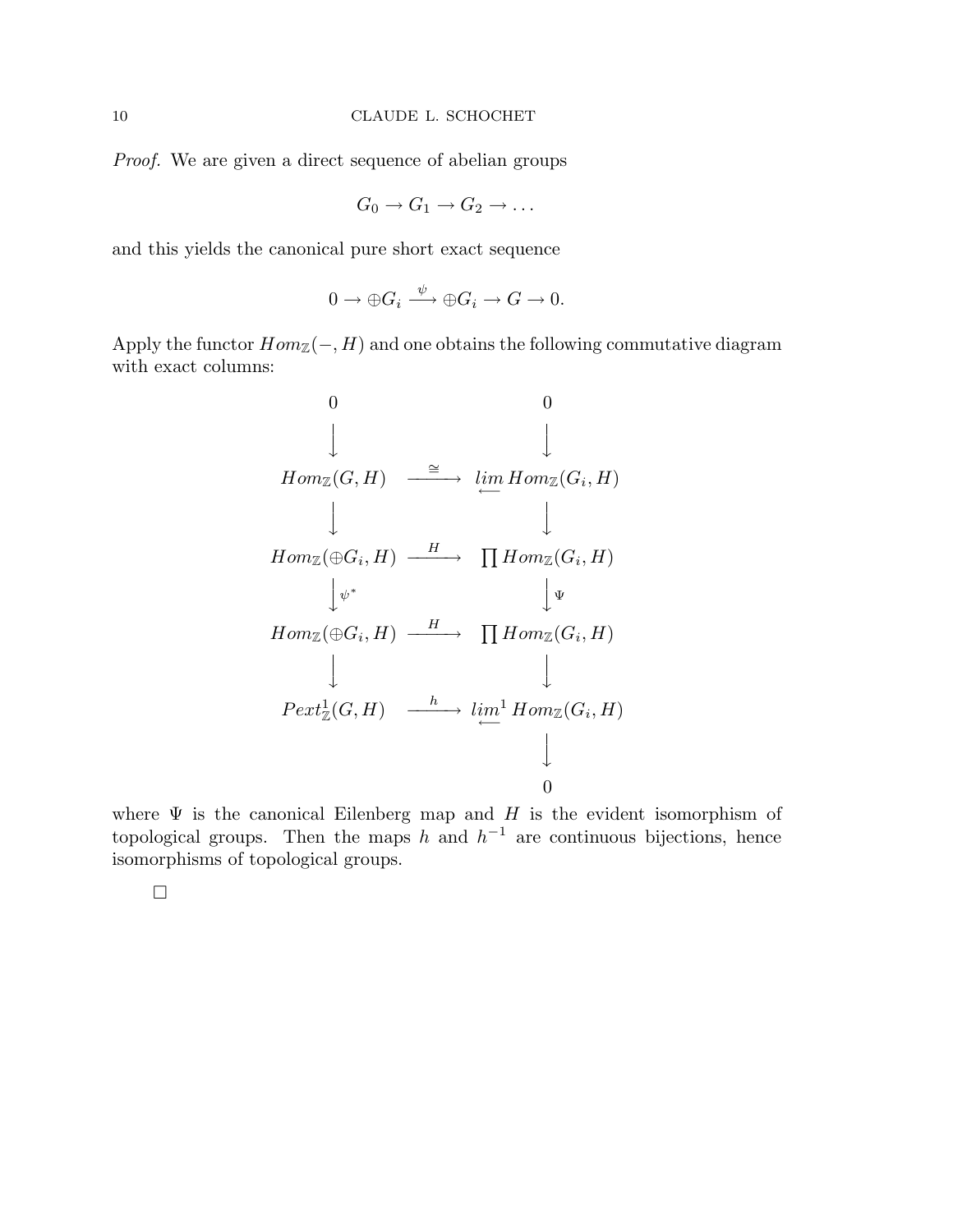*Proof.* We are given a direct sequence of abelian groups

$$
G_0 \to G_1 \to G_2 \to \ldots
$$

and this yields the canonical pure short exact sequence

$$
0 \to \oplus G_i \xrightarrow{\psi} \oplus G_i \to G \to 0.
$$

Apply the functor  $Hom_{\mathbb{Z}}(-, H)$  and one obtains the following commutative diagram with exact columns:

0 0 y y HomZ(G, H) <sup>∼</sup><sup>=</sup> −−−−→ lim←− HomZ(G<sup>i</sup> , H) y y HomZ(⊕G<sup>i</sup> , H) <sup>H</sup> −−−−→ Q HomZ(G<sup>i</sup> , H) yψ ∗ y Ψ HomZ(⊕G<sup>i</sup> , H) <sup>H</sup> −−−−→ Q HomZ(G<sup>i</sup> , H) y y Pext<sup>1</sup> Z (G, H) <sup>h</sup> −−−−→ lim<sup>1</sup> ←− HomZ(G<sup>i</sup> , H) y 0

where  $\Psi$  is the canonical Eilenberg map and H is the evident isomorphism of topological groups. Then the maps h and  $h^{-1}$  are continuous bijections, hence isomorphisms of topological groups.

 $\Box$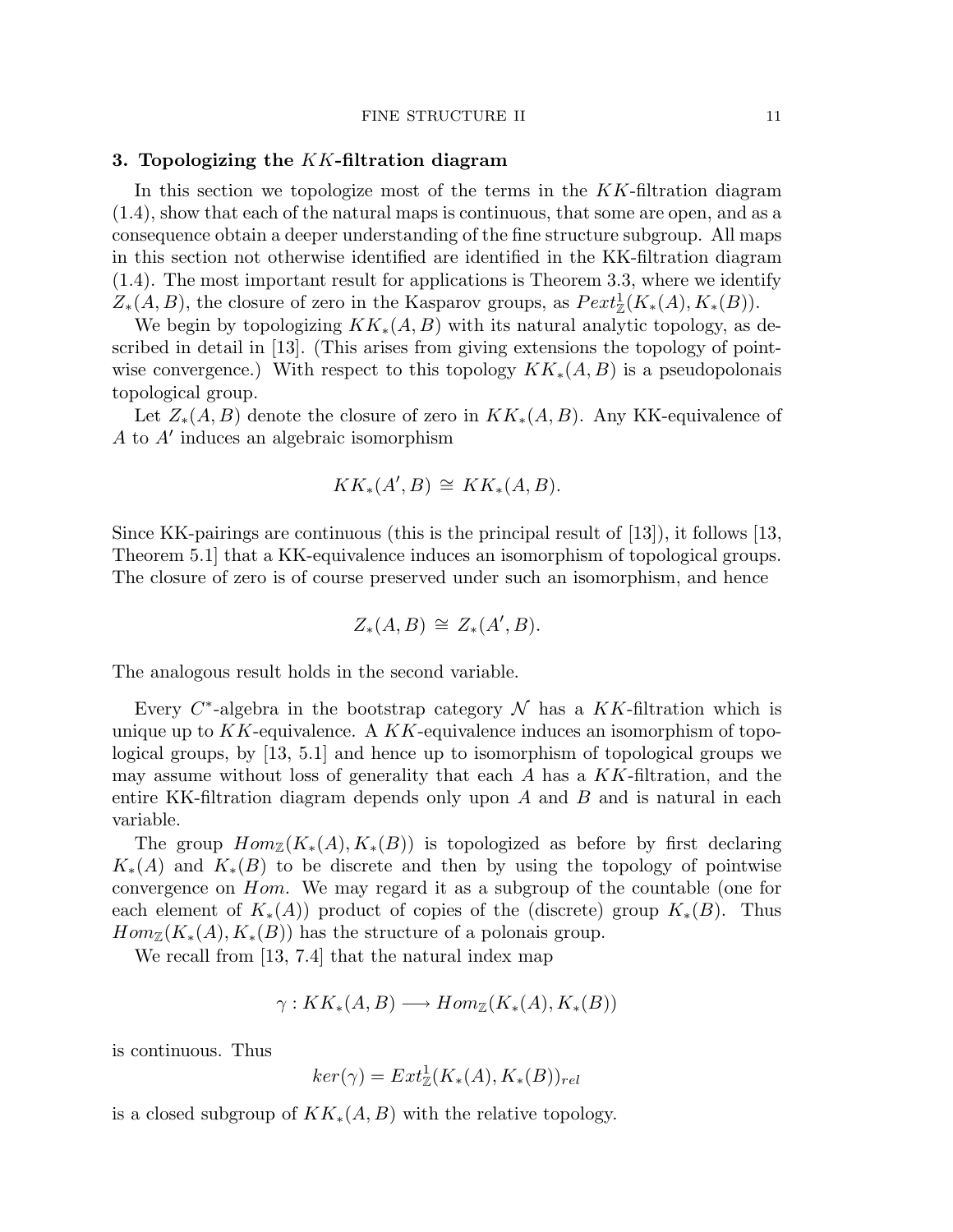## 3. Topologizing the  $KK$ -filtration diagram

In this section we topologize most of the terms in the  $KK$ -filtration diagram (1.4), show that each of the natural maps is continuous, that some are open, and as a consequence obtain a deeper understanding of the fine structure subgroup. All maps in this section not otherwise identified are identified in the KK-filtration diagram (1.4). The most important result for applications is Theorem 3.3, where we identify  $Z_*(A, B)$ , the closure of zero in the Kasparov groups, as  $Pext_{\mathbb{Z}}^1(K_*(A), K_*(B)).$ 

We begin by topologizing  $KK_*(A, B)$  with its natural analytic topology, as described in detail in [13]. (This arises from giving extensions the topology of pointwise convergence.) With respect to this topology  $KK_*(A, B)$  is a pseudopolonais topological group.

Let  $Z_*(A, B)$  denote the closure of zero in  $KK_*(A, B)$ . Any KK-equivalence of A to A′ induces an algebraic isomorphism

$$
KK_*(A',B) \cong KK_*(A,B).
$$

Since KK-pairings are continuous (this is the principal result of  $(13)$ ), it follows  $(13)$ , Theorem 5.1] that a KK-equivalence induces an isomorphism of topological groups. The closure of zero is of course preserved under such an isomorphism, and hence

$$
Z_*(A, B) \cong Z_*(A', B).
$$

The analogous result holds in the second variable.

Every  $C^*$ -algebra in the bootstrap category  $\mathcal N$  has a KK-filtration which is unique up to  $KK$ -equivalence. A  $KK$ -equivalence induces an isomorphism of topological groups, by [13, 5.1] and hence up to isomorphism of topological groups we may assume without loss of generality that each  $A$  has a  $KK$ -filtration, and the entire KK-filtration diagram depends only upon  $A$  and  $B$  and is natural in each variable.

The group  $Hom_{\mathbb{Z}}(K_*(A), K_*(B))$  is topologized as before by first declaring  $K_*(A)$  and  $K_*(B)$  to be discrete and then by using the topology of pointwise convergence on Hom. We may regard it as a subgroup of the countable (one for each element of  $K_*(A)$ ) product of copies of the (discrete) group  $K_*(B)$ . Thus  $Hom_{\mathbb{Z}}(K_*(A), K_*(B))$  has the structure of a polonais group.

We recall from [13, 7.4] that the natural index map

$$
\gamma: KK_*(A, B) \longrightarrow Hom_{\mathbb{Z}}(K_*(A), K_*(B))
$$

is continuous. Thus

$$
ker(\gamma) = Ext^1_{\mathbb{Z}}(K_*(A), K_*(B))_{rel}
$$

is a closed subgroup of  $KK_*(A, B)$  with the relative topology.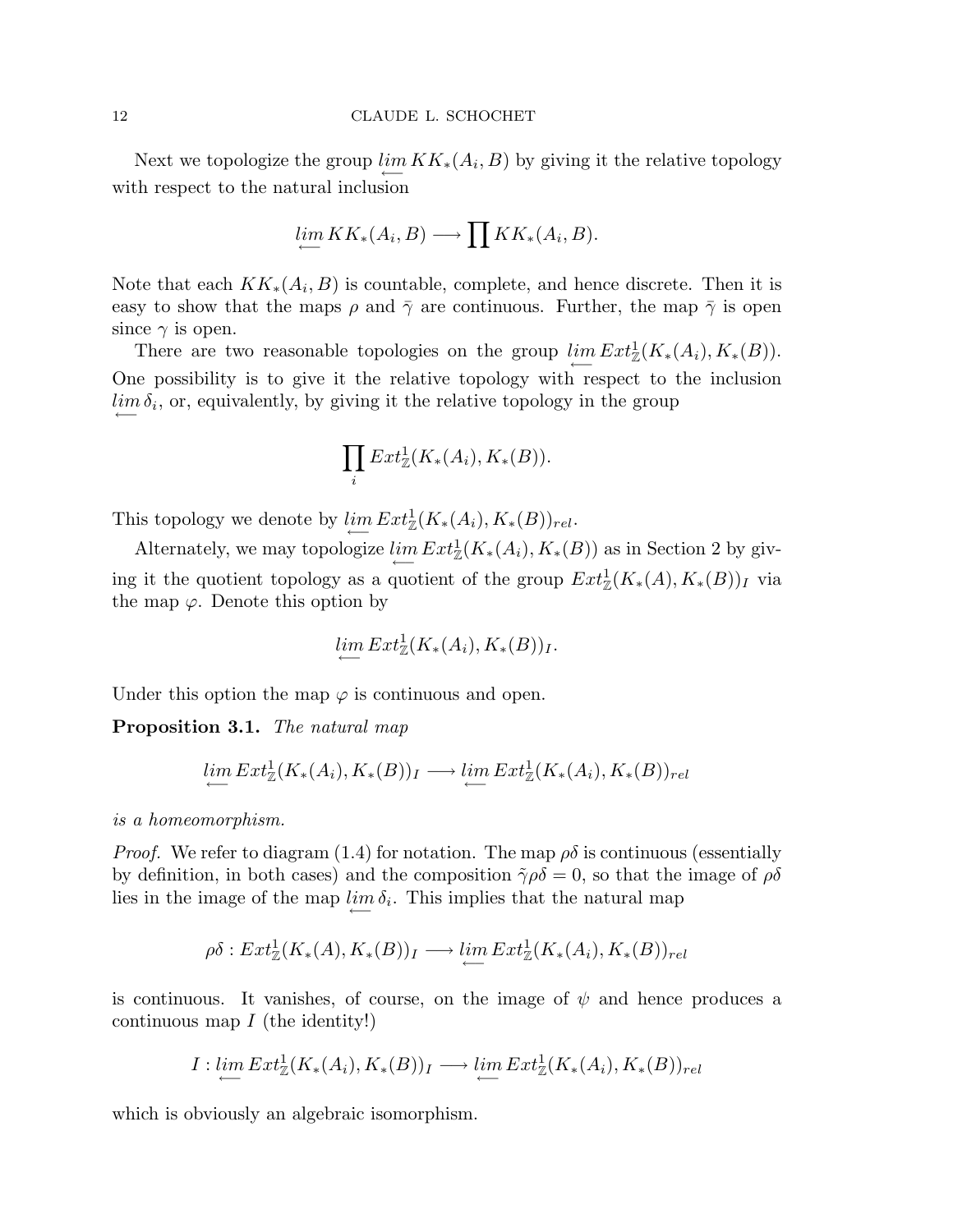Next we topologize the group  $\lim_{\longleftarrow} KK_*(A_i, B)$  by giving it the relative topology with respect to the natural inclusion

$$
\lim_{\longleftarrow} KK_*(A_i, B) \longrightarrow \prod_{i} KK_*(A_i, B).
$$

Note that each  $KK_*(A_i, B)$  is countable, complete, and hence discrete. Then it is easy to show that the maps  $\rho$  and  $\bar{\gamma}$  are continuous. Further, the map  $\bar{\gamma}$  is open since  $\gamma$  is open.

There are two reasonable topologies on the group  $\lim_{\longleftarrow} Ext^1_{\mathbb{Z}}(K_*(A_i), K_*(B)).$ One possibility is to give it the relative topology with respect to the inclusion  $\lim_{n \to \infty} \delta_i$ , or, equivalently, by giving it the relative topology in the group

$$
\prod_i Ext^1_{\mathbb{Z}}(K_*(A_i), K_*(B)).
$$

This topology we denote by  $\lim_{\longleftarrow} Ext^1_{\mathbb{Z}}(K_*(A_i), K_*(B))_{rel}.$ 

Alternately, we may topologize  $\lim_{\longleftarrow} Ext^1_{\mathbb{Z}}(K_*(A_i), K_*(B))$  as in Section 2 by giving it the quotient topology as a quotient of the group  $Ext^1_{\mathbb{Z}}(K_*(A), K_*(B))_I$  via the map  $\varphi$ . Denote this option by

$$
\lim_{\longleftarrow} Ext^1_{\mathbb{Z}}(K_*(A_i), K_*(B))_I.
$$

Under this option the map  $\varphi$  is continuous and open.

Proposition 3.1. *The natural map*

$$
\lim_{\longleftarrow} Ext^1_{\mathbb{Z}}(K_*(A_i), K_*(B))_I \longrightarrow \lim_{\longleftarrow} Ext^1_{\mathbb{Z}}(K_*(A_i), K_*(B))_{rel}
$$

*is a homeomorphism.*

*Proof.* We refer to diagram (1.4) for notation. The map  $\rho\delta$  is continuous (essentially by definition, in both cases) and the composition  $\tilde{\gamma}\rho\delta = 0$ , so that the image of  $\rho\delta$ lies in the image of the map  $\lim_{\epsilon \to 0} \delta_i$ . This implies that the natural map

$$
\rho \delta: Ext^1_{\mathbb{Z}}(K_*(A), K_*(B))_I \longrightarrow \lim_{\longrightarrow} Ext^1_{\mathbb{Z}}(K_*(A_i), K_*(B))_{rel}
$$

is continuous. It vanishes, of course, on the image of  $\psi$  and hence produces a continuous map  $I$  (the identity!)

$$
I: \lim_{\longleftarrow} Ext^1_{\mathbb{Z}}(K_*(A_i), K_*(B))_I \longrightarrow \lim_{\longleftarrow} Ext^1_{\mathbb{Z}}(K_*(A_i), K_*(B))_{rel}
$$

which is obviously an algebraic isomorphism.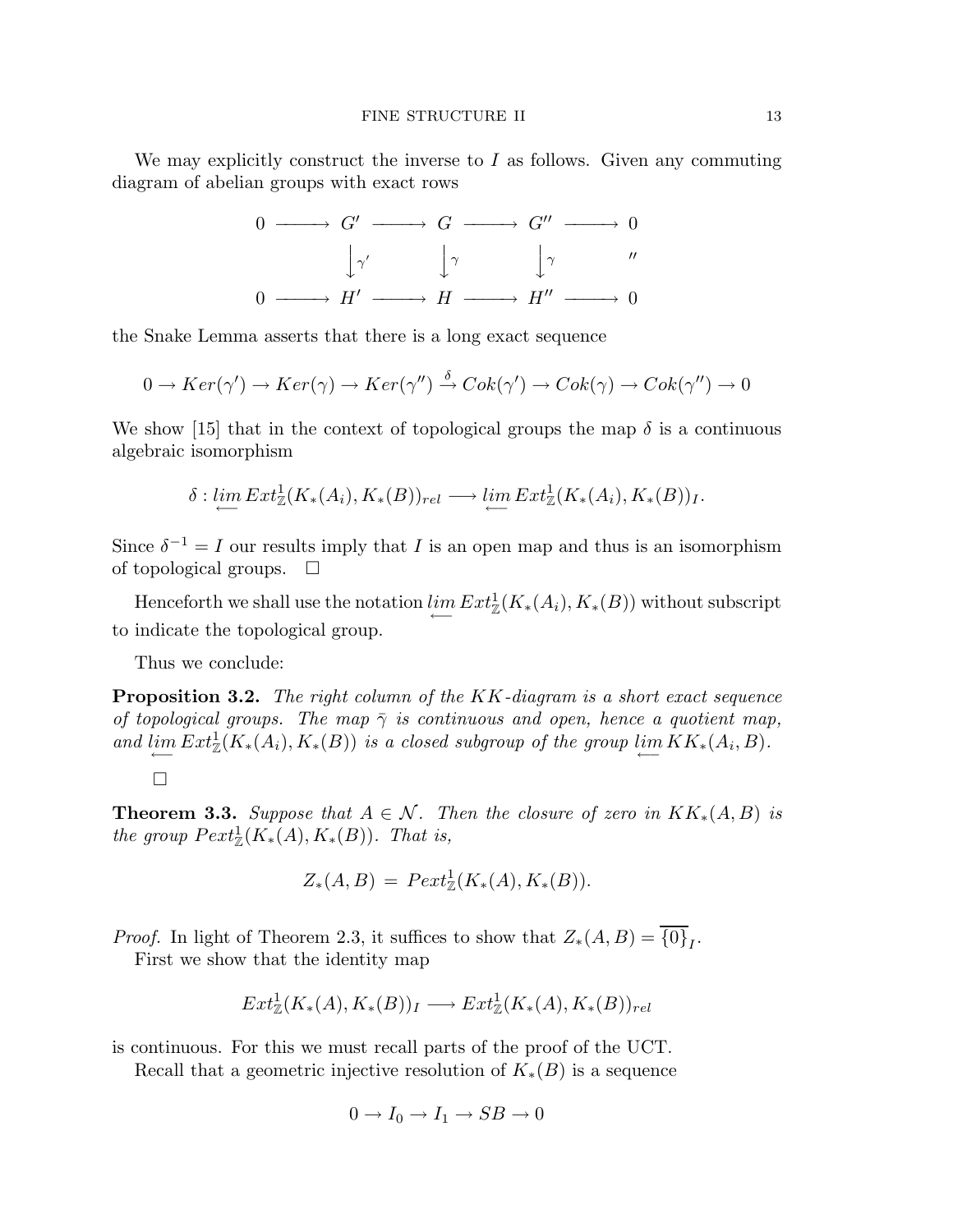We may explicitly construct the inverse to  $I$  as follows. Given any commuting diagram of abelian groups with exact rows



the Snake Lemma asserts that there is a long exact sequence

$$
0 \to Ker(\gamma') \to Ker(\gamma) \to Ker(\gamma'') \stackrel{\delta}{\to} Cok(\gamma') \to Cok(\gamma) \to Cok(\gamma'') \to 0
$$

We show [15] that in the context of topological groups the map  $\delta$  is a continuous algebraic isomorphism

$$
\delta: \lim_{\longleftarrow} Ext^1_{\mathbb{Z}}(K_*(A_i), K_*(B))_{rel} \longrightarrow \lim_{\longleftarrow} Ext^1_{\mathbb{Z}}(K_*(A_i), K_*(B))_I.
$$

Since  $\delta^{-1} = I$  our results imply that I is an open map and thus is an isomorphism of topological groups.  $\Box$ 

Henceforth we shall use the notation  $\lim_{\longleftarrow} Ext^1_{\mathbb{Z}}(K_*(A_i), K_*(B))$  without subscript to indicate the topological group.

Thus we conclude:

Proposition 3.2. *The right column of the* KK*-diagram is a short exact sequence of topological groups. The map*  $\bar{\gamma}$  *is continuous and open, hence a quotient map,* and  $\lim_{\longleftarrow} Ext^1_{\mathbb{Z}}(K_*(A_i), K_*(B))$  *is a closed subgroup of the group*  $\lim_{\longleftarrow} KK_*(A_i, B)$ *.* 

 $\Box$ 

**Theorem 3.3.** *Suppose that*  $A \in \mathcal{N}$ *. Then the closure of zero in*  $KK_*(A, B)$  *is* the group  $Pext_{\mathbb{Z}}^1(K_*(A), K_*(B))$ . That is,

$$
Z_*(A, B) = \text{Pext}^1_{\mathbb{Z}}(K_*(A), K_*(B)).
$$

*Proof.* In light of Theorem 2.3, it suffices to show that  $Z_*(A, B) = \{0\}_I$ . First we show that the identity map

$$
Ext^1_{\mathbb{Z}}(K_*(A), K_*(B))_I \longrightarrow Ext^1_{\mathbb{Z}}(K_*(A), K_*(B))_{rel}
$$

is continuous. For this we must recall parts of the proof of the UCT.

Recall that a geometric injective resolution of  $K_*(B)$  is a sequence

$$
0 \to I_0 \to I_1 \to SB \to 0
$$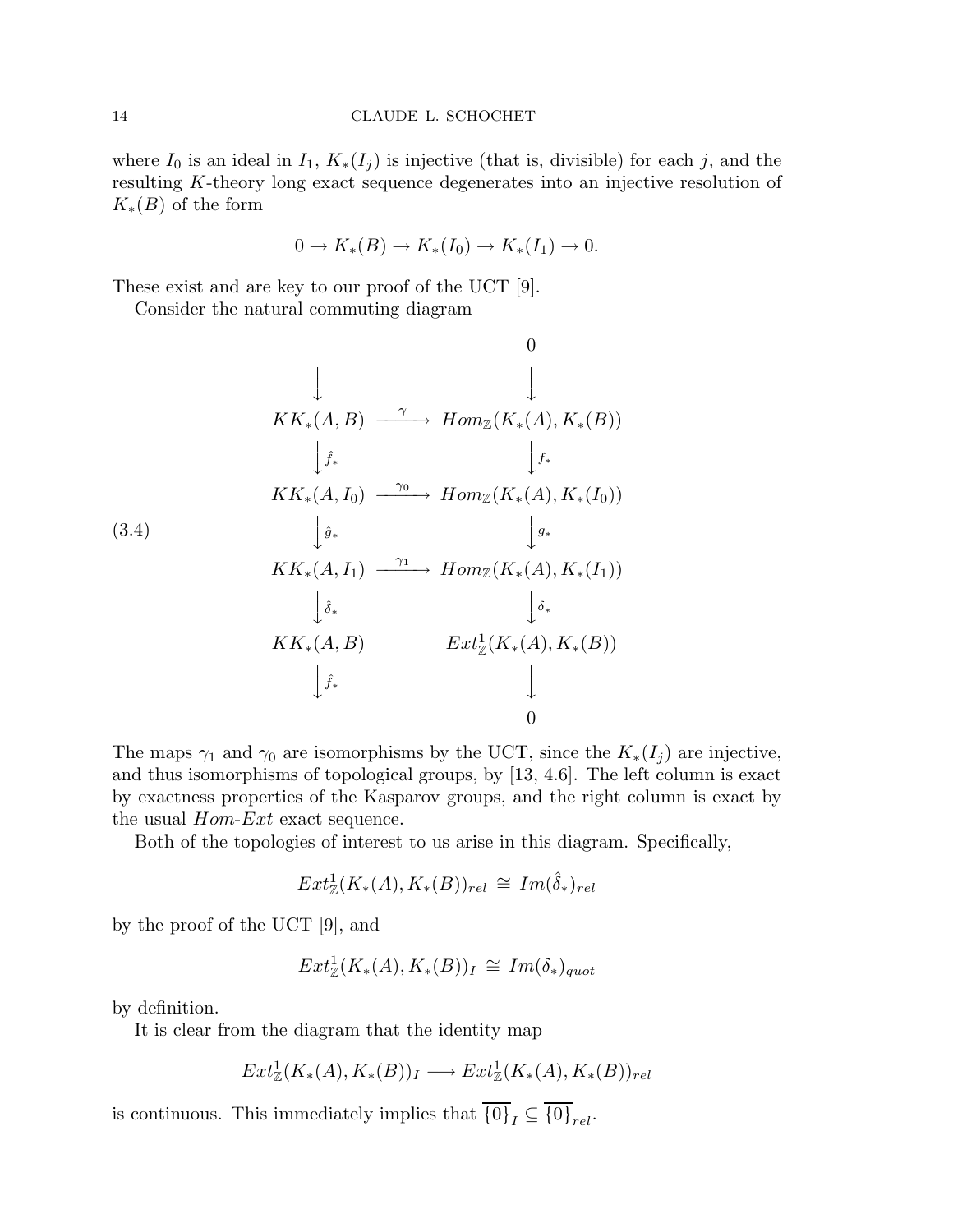where  $I_0$  is an ideal in  $I_1, K_*(I_j)$  is injective (that is, divisible) for each j, and the resulting K-theory long exact sequence degenerates into an injective resolution of  $K_*(B)$  of the form

$$
0 \to K_*(B) \to K_*(I_0) \to K_*(I_1) \to 0.
$$

These exist and are key to our proof of the UCT [9].

Consider the natural commuting diagram

(3.4) 0 y y KK∗(A, B) γ −−−−→ HomZ(K∗(A), K∗(B)) yfˆ∗ yf∗ KK∗(A, I0) <sup>γ</sup><sup>0</sup> −−−−→ HomZ(K∗(A), K∗(I0)) ygˆ∗ y g∗ KK∗(A, I1) <sup>γ</sup><sup>1</sup> −−−−→ HomZ(K∗(A), K∗(I1)) y δˆ∗ y δ∗ KK∗(A, B) Ext<sup>1</sup> Z (K∗(A), K∗(B)) yfˆ∗ y 0

The maps  $\gamma_1$  and  $\gamma_0$  are isomorphisms by the UCT, since the  $K_*(I_j)$  are injective, and thus isomorphisms of topological groups, by [13, 4.6]. The left column is exact by exactness properties of the Kasparov groups, and the right column is exact by the usual  $Hom\text{-}Ext$  exact sequence.

Both of the topologies of interest to us arise in this diagram. Specifically,

$$
Ext^1_{\mathbb{Z}}(K_*(A), K_*(B))_{rel} \cong Im(\hat{\delta}_*)_{rel}
$$

by the proof of the UCT [9], and

$$
Ext^1_{\mathbb{Z}}(K_*(A), K_*(B))_I \cong Im(\delta_*)_{quot}
$$

by definition.

It is clear from the diagram that the identity map

$$
Ext^1_{\mathbb{Z}}(K_*(A), K_*(B))_I \longrightarrow Ext^1_{\mathbb{Z}}(K_*(A), K_*(B))_{rel}
$$

is continuous. This immediately implies that  $\overline{\{0\}}_I \subseteq \overline{\{0\}}_{rel}.$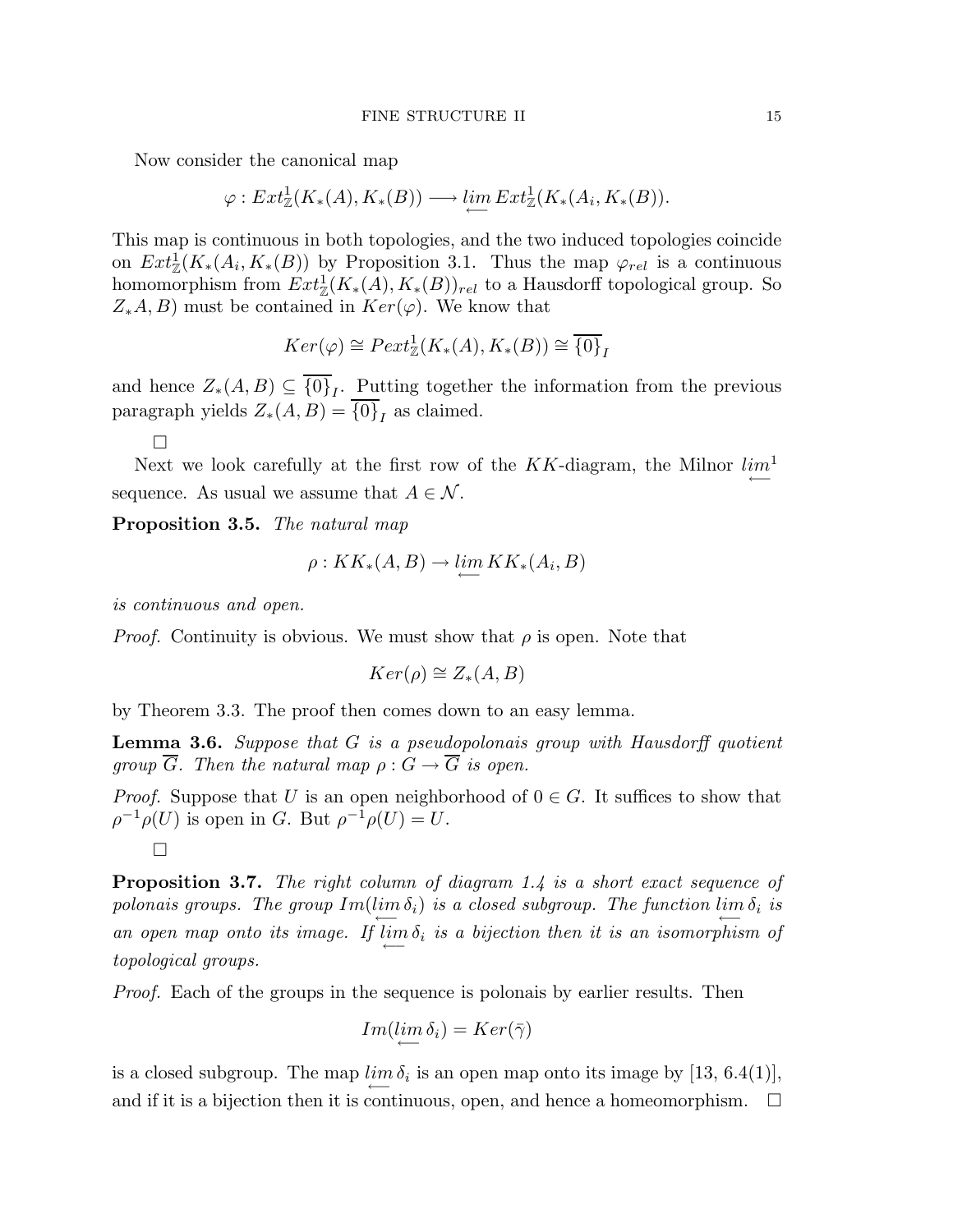Now consider the canonical map

$$
\varphi: Ext^1_{\mathbb{Z}}(K_*(A), K_*(B)) \longrightarrow \varprojlim Ext^1_{\mathbb{Z}}(K_*(A_i, K_*(B)).
$$

This map is continuous in both topologies, and the two induced topologies coincide on  $Ext^1_{\mathbb{Z}}(K_*(A_i,K_*(B))$  by Proposition 3.1. Thus the map  $\varphi_{rel}$  is a continuous homomorphism from  $Ext^1_{\mathbb{Z}}(K_*(A), K_*(B))_{rel}$  to a Hausdorff topological group. So  $Z_*A, B$ ) must be contained in  $Ker(\varphi)$ . We know that

$$
Ker(\varphi) \cong \text{Pext}^1_{\mathbb{Z}}(K_*(A), K_*(B)) \cong \overline{\{0\}}_I
$$

and hence  $Z_*(A, B) \subseteq \{0\}_I$ . Putting together the information from the previous paragraph yields  $Z_*(A, B) = \{0\}_I$  as claimed.

 $\Box$ 

Next we look carefully at the first row of the KK-diagram, the Milnor  $\lim_{\longleftarrow}$ sequence. As usual we assume that  $A \in \mathcal{N}$ .

Proposition 3.5. *The natural map*

$$
\rho: KK_*(A, B) \to \lim_{\longleftarrow} KK_*(A_i, B)
$$

*is continuous and open.*

*Proof.* Continuity is obvious. We must show that  $\rho$  is open. Note that

$$
Ker(\rho) \cong Z_*(A, B)
$$

by Theorem 3.3. The proof then comes down to an easy lemma.

Lemma 3.6. *Suppose that* G *is a pseudopolonais group with Hausdorff quotient group*  $\overline{G}$ *. Then the natural map*  $\rho$  :  $\overline{G} \rightarrow \overline{G}$  *is open.* 

*Proof.* Suppose that U is an open neighborhood of  $0 \in G$ . It suffices to show that  $\rho^{-1}\rho(U)$  is open in G. But  $\rho^{-1}\rho(U) = U$ .  $\Box$ 

Proposition 3.7. *The right column of diagram 1.4 is a short exact sequence of*  $p$ olonais groups. The group  $Im(\lim_{\longleftarrow} \delta_i)$  is a closed subgroup. The function  $\lim_{\longleftarrow} \delta_i$  is *an open map onto its image.* If  $\lim_{\longleftarrow} \delta_i$  is a bijection then it is an isomorphism of *topological groups.*

*Proof.* Each of the groups in the sequence is polonais by earlier results. Then

$$
Im(\lim_{\longleftarrow} \delta_i) = Ker(\bar{\gamma})
$$

is a closed subgroup. The map  $\lim_{\longleftarrow} \delta_i$  is an open map onto its image by [13, 6.4(1)], and if it is a bijection then it is continuous, open, and hence a homeomorphism.  $\Box$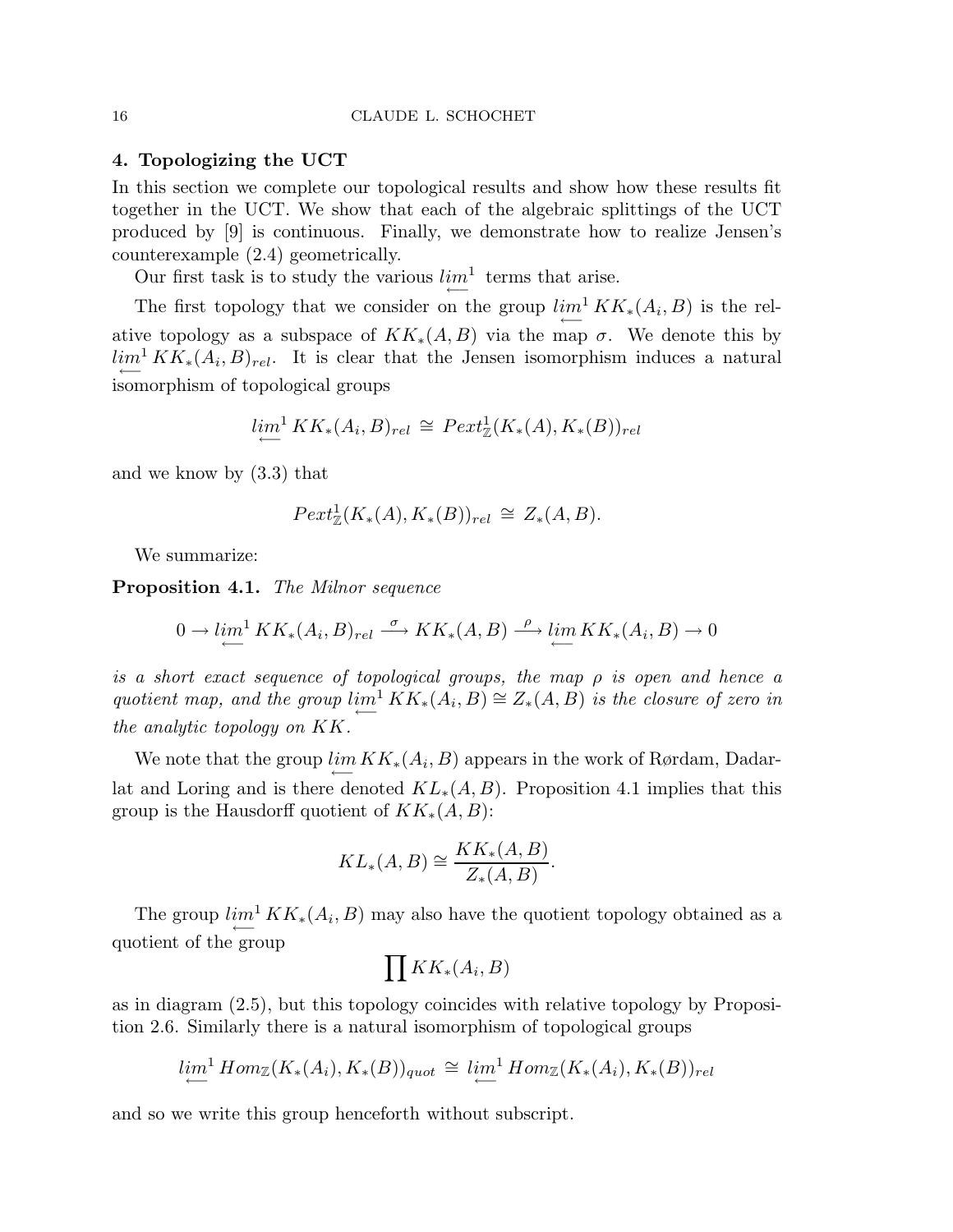# 4. Topologizing the UCT

In this section we complete our topological results and show how these results fit together in the UCT. We show that each of the algebraic splittings of the UCT produced by [9] is continuous. Finally, we demonstrate how to realize Jensen's counterexample (2.4) geometrically.

Our first task is to study the various  $\lim_{n \to \infty} \frac{1}{n}$  terms that arise.

The first topology that we consider on the group  $\lim_{\longleftarrow} K K_*(A_i, B)$  is the relative topology as a subspace of  $KK_*(A, B)$  via the map  $\sigma$ . We denote this by  $\lim_{\longleftarrow} K K_*(A_i, B)_{rel}$ . It is clear that the Jensen isomorphism induces a natural isomorphism of topological groups

$$
\lim_{\longleftarrow}^1 KK_*(A_i, B)_{rel} \cong \text{Pext}^1_{\mathbb{Z}}(K_*(A), K_*(B))_{rel}
$$

and we know by (3.3) that

$$
Pext_{\mathbb{Z}}^1(K_*(A), K_*(B))_{rel} \cong Z_*(A, B).
$$

We summarize:

Proposition 4.1. *The Milnor sequence*

$$
0 \to \lim_{\longrightarrow}^1 KK_*(A_i, B)_{rel} \xrightarrow{\sigma} KK_*(A, B) \xrightarrow{\rho} \lim_{\longleftarrow} KK_*(A_i, B) \to 0
$$

*is a short exact sequence of topological groups, the map* ρ *is open and hence a* quotient map, and the group  $\lim_{\longrightarrow} KK_*(A_i, B) \cong Z_*(A, B)$  is the closure of zero in *the analytic topology on* KK*.*

We note that the group  $\lim_{\longleftarrow} KK_*(A_i, B)$  appears in the work of Rørdam, Dadarlat and Loring and is there denoted  $KL_*(A, B)$ . Proposition 4.1 implies that this group is the Hausdorff quotient of  $KK_*(A, B)$ :

$$
KL_*(A, B) \cong \frac{KK_*(A, B)}{Z_*(A, B)}.
$$

The group  $\lim_{\longleftarrow} K K_*(A_i, B)$  may also have the quotient topology obtained as a quotient of the group

$$
\prod KK_*(A_i,B)
$$

as in diagram (2.5), but this topology coincides with relative topology by Proposition 2.6. Similarly there is a natural isomorphism of topological groups

$$
\lim_{\longleftarrow}^1 Hom_{\mathbb{Z}}(K_*(A_i), K_*(B))_{quot} \cong \lim_{\longleftarrow}^1 Hom_{\mathbb{Z}}(K_*(A_i), K_*(B))_{rel}
$$

and so we write this group henceforth without subscript.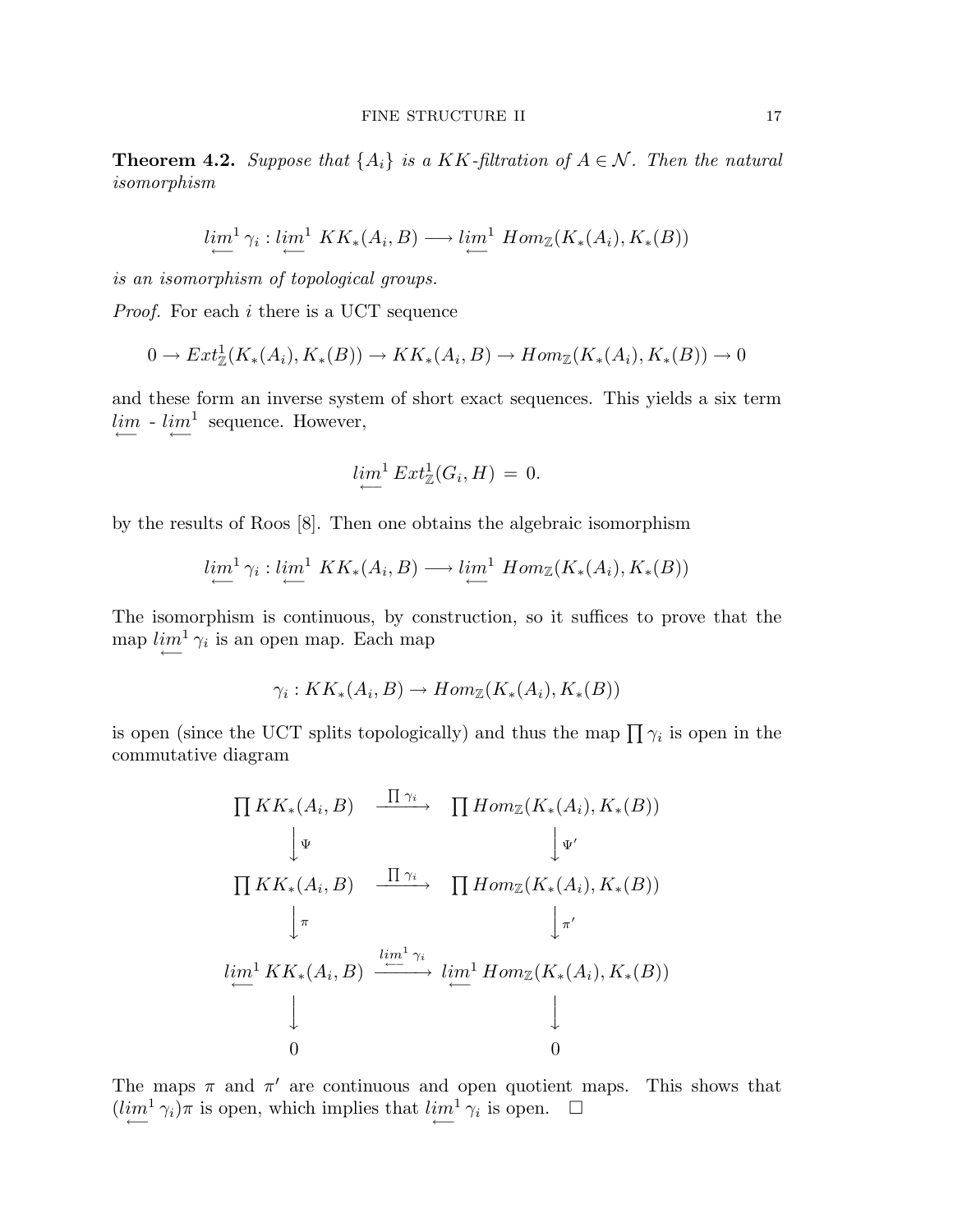**Theorem 4.2.** *Suppose that*  $\{A_i\}$  *is a KK-filtration of*  $A \in \mathcal{N}$ *. Then the natural isomorphism*

$$
\lim_{\longleftarrow} \mathcal{C}_i : \lim_{\longleftarrow} \, KK_*(A_i, B) \longrightarrow \lim_{\longleftarrow} \, Hom_{\mathbb{Z}}(K_*(A_i), K_*(B))
$$

*is an isomorphism of topological groups.*

*Proof.* For each *i* there is a UCT sequence

$$
0 \to Ext^1_{\mathbb{Z}}(K_*(A_i), K_*(B)) \to KK_*(A_i, B) \to Hom_{\mathbb{Z}}(K_*(A_i), K_*(B)) \to 0
$$

and these form an inverse system of short exact sequences. This yields a six term  $\lim_{n \to \infty} - \lim_{n \to \infty} \frac{1}{n}$  sequence. However,

$$
\lim_{\longleftarrow} \frac{1}{2} Ext^1_{\mathbb{Z}}(G_i, H) = 0.
$$

by the results of Roos [8]. Then one obtains the algebraic isomorphism

$$
\lim_{\longleftarrow}^1 \gamma_i : \lim_{\longleftarrow}^1 KK_*(A_i, B) \longrightarrow \lim_{\longleftarrow}^1 Hom_{\mathbb{Z}}(K_*(A_i), K_*(B))
$$

The isomorphism is continuous, by construction, so it suffices to prove that the map  $\lim_{\longleftarrow} \frac{1}{\gamma_i}$  is an open map. Each map

$$
\gamma_i: KK_*(A_i, B) \to Hom_{\mathbb{Z}}(K_*(A_i), K_*(B))
$$

is open (since the UCT splits topologically) and thus the map  $\prod \gamma_i$  is open in the commutative diagram

$$
\prod K K_*(A_i, B) \xrightarrow{\prod \gamma_i} \prod Hom_{\mathbb{Z}}(K_*(A_i), K_*(B))
$$
\n
$$
\downarrow \Psi
$$
\n
$$
\prod K K_*(A_i, B) \xrightarrow{\prod \gamma_i} \prod Hom_{\mathbb{Z}}(K_*(A_i), K_*(B))
$$
\n
$$
\downarrow \pi
$$
\n
$$
\lim_{\longleftarrow} K K_*(A_i, B) \xrightarrow{\lim_{\longleftarrow} \gamma_i} \lim_{\longleftarrow} \lim_{\longleftarrow} \lim_{\longleftarrow} (K_*(A_i), K_*(B))
$$
\n
$$
\downarrow
$$
\n0\n0

The maps  $\pi$  and  $\pi'$  are continuous and open quotient maps. This shows that  $(lim^1 \gamma_i)\pi$  is open, which implies that  $\lim_{\longleftarrow} \gamma_i$  is open.  $\Box$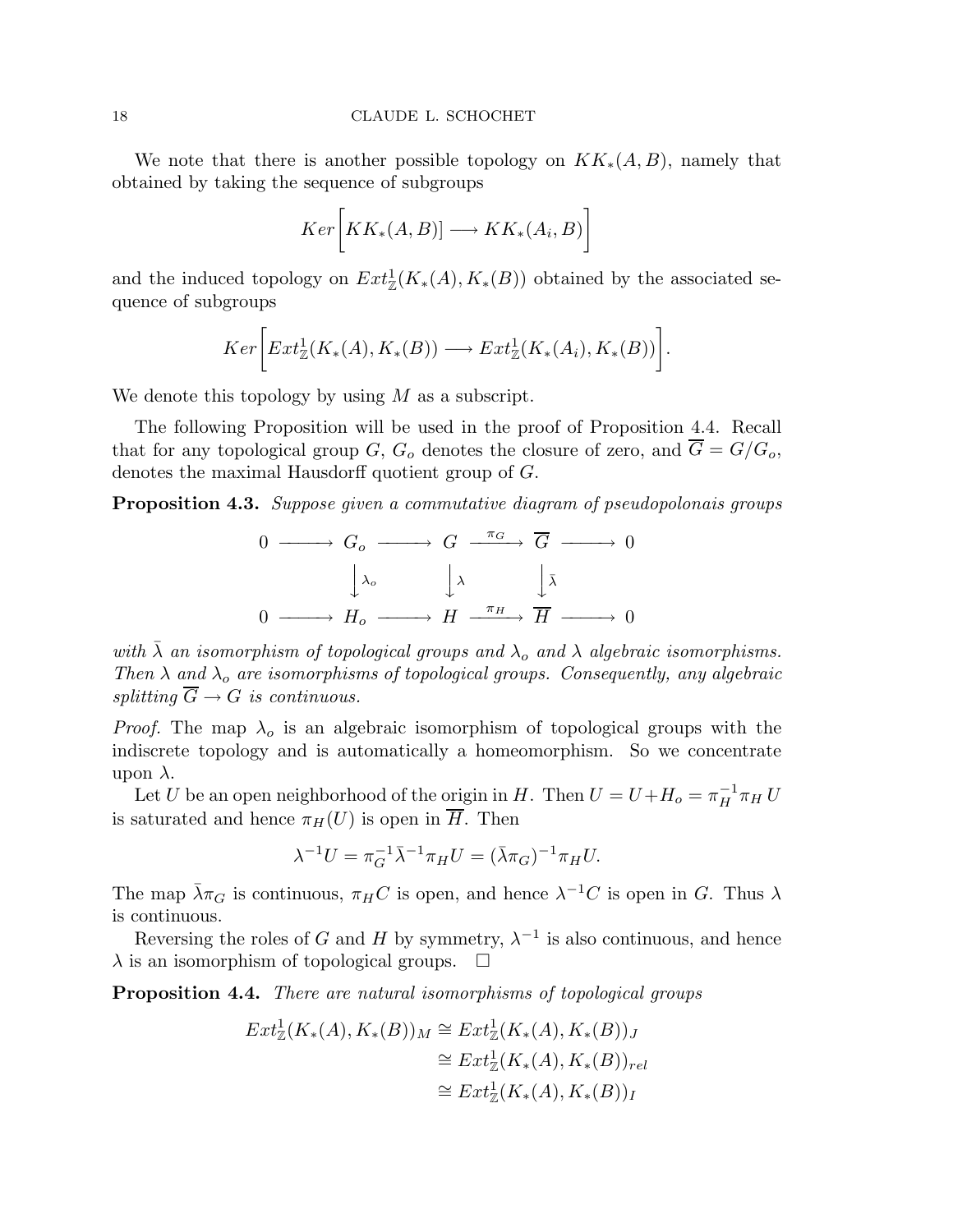We note that there is another possible topology on  $KK_*(A, B)$ , namely that obtained by taking the sequence of subgroups

$$
Ker\bigg[KK_*(A,B)] \longrightarrow KK_*(A_i,B)\bigg]
$$

and the induced topology on  $Ext^1_{\mathbb{Z}}(K_*(A), K_*(B))$  obtained by the associated sequence of subgroups

$$
Ker\bigg[Ext^1_{\mathbb{Z}}(K_*(A), K_*(B)) \longrightarrow Ext^1_{\mathbb{Z}}(K_*(A_i), K_*(B))\bigg].
$$

We denote this topology by using  $M$  as a subscript.

The following Proposition will be used in the proof of Proposition 4.4. Recall that for any topological group G,  $G_o$  denotes the closure of zero, and  $\overline{G} = G/G_o$ , denotes the maximal Hausdorff quotient group of G.

Proposition 4.3. *Suppose given a commutative diagram of pseudopolonais groups*

$$
0 \longrightarrow G_o \longrightarrow G \xrightarrow{\pi_G} \overline{G} \longrightarrow 0
$$

$$
\downarrow \lambda_o \qquad \downarrow \lambda \qquad \downarrow \overline{\lambda}
$$

$$
0 \longrightarrow H_o \longrightarrow H \xrightarrow{\pi_H} \overline{H} \longrightarrow 0
$$

*with*  $\bar{\lambda}$  *an isomorphism of topological groups and*  $\lambda_o$  *and*  $\lambda$  *algebraic isomorphisms. Then*  $\lambda$  *and*  $\lambda_o$  *are isomorphisms of topological groups. Consequently, any algebraic splitting*  $\overline{G} \rightarrow G$  *is continuous.* 

*Proof.* The map  $\lambda_0$  is an algebraic isomorphism of topological groups with the indiscrete topology and is automatically a homeomorphism. So we concentrate upon  $\lambda$ .

Let U be an open neighborhood of the origin in H. Then  $U = U + H_o = \pi_H^{-1} \pi_H U$ is saturated and hence  $\pi_H(U)$  is open in  $\overline{H}$ . Then

$$
\lambda^{-1}U = \pi_G^{-1}\bar{\lambda}^{-1}\pi_H U = (\bar{\lambda}\pi_G)^{-1}\pi_H U.
$$

The map  $\bar{\lambda}\pi_G$  is continuous,  $\pi_H C$  is open, and hence  $\lambda^{-1}C$  is open in G. Thus  $\lambda$ is continuous.

Reversing the roles of G and H by symmetry,  $\lambda^{-1}$  is also continuous, and hence  $\lambda$  is an isomorphism of topological groups.  $\Box$ 

Proposition 4.4. *There are natural isomorphisms of topological groups*

$$
Ext^1_{\mathbb{Z}}(K_*(A), K_*(B))_M \cong Ext^1_{\mathbb{Z}}(K_*(A), K_*(B))_J
$$
  
\n
$$
\cong Ext^1_{\mathbb{Z}}(K_*(A), K_*(B))_{rel}
$$
  
\n
$$
\cong Ext^1_{\mathbb{Z}}(K_*(A), K_*(B))_I
$$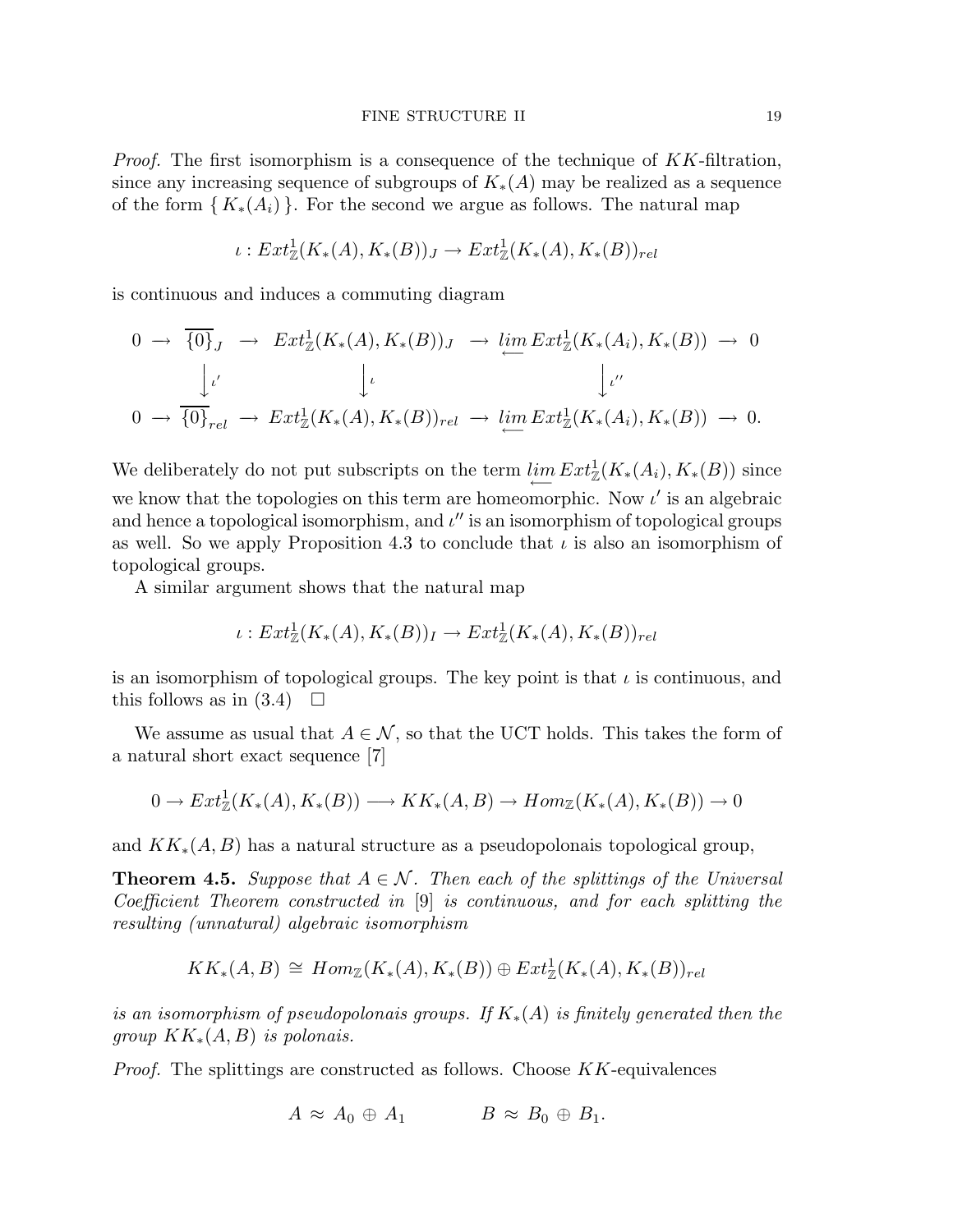*Proof.* The first isomorphism is a consequence of the technique of KK-filtration, since any increasing sequence of subgroups of  $K_*(A)$  may be realized as a sequence of the form  ${K_*(A_i)}$ . For the second we argue as follows. The natural map

$$
\iota: Ext^1_{\mathbb{Z}}(K_*(A), K_*(B))_J \to Ext^1_{\mathbb{Z}}(K_*(A), K_*(B))_{rel}
$$

is continuous and induces a commuting diagram

$$
0 \to \overline{\{0\}}_J \to \operatorname{Ext}^1_{\mathbb{Z}}(K_*(A), K_*(B))_J \to \varprojlim \operatorname{Ext}^1_{\mathbb{Z}}(K_*(A_i), K_*(B)) \to 0
$$
  

$$
\downarrow \iota
$$
  

$$
0 \to \overline{\{0\}}_{rel} \to \operatorname{Ext}^1_{\mathbb{Z}}(K_*(A), K_*(B))_{rel} \to \varprojlim \operatorname{Ext}^1_{\mathbb{Z}}(K_*(A_i), K_*(B)) \to 0.
$$

We deliberately do not put subscripts on the term  $\lim_{\longleftarrow} Ext^1_{\mathbb{Z}}(K_*(A_i), K_*(B))$  since we know that the topologies on this term are homeomorphic. Now  $\iota'$  is an algebraic and hence a topological isomorphism, and  $\iota''$  is an isomorphism of topological groups as well. So we apply Proposition 4.3 to conclude that  $\iota$  is also an isomorphism of topological groups.

A similar argument shows that the natural map

$$
\iota: Ext^1_{\mathbb{Z}}(K_*(A), K_*(B))_I \to Ext^1_{\mathbb{Z}}(K_*(A), K_*(B))_{rel}
$$

is an isomorphism of topological groups. The key point is that  $\iota$  is continuous, and this follows as in  $(3.4)$ 

We assume as usual that  $A \in \mathcal{N}$ , so that the UCT holds. This takes the form of a natural short exact sequence [7]

$$
0 \to Ext^1_{\mathbb{Z}}(K_*(A), K_*(B)) \longrightarrow KK_*(A, B) \to Hom_{\mathbb{Z}}(K_*(A), K_*(B)) \to 0
$$

and  $KK_*(A, B)$  has a natural structure as a pseudopolonais topological group,

**Theorem 4.5.** Suppose that  $A \in \mathcal{N}$ . Then each of the splittings of the Universal *Coefficient Theorem constructed in* [9] *is continuous, and for each splitting the resulting (unnatural) algebraic isomorphism*

$$
KK_*(A, B) \cong Hom_{\mathbb{Z}}(K_*(A), K_*(B)) \oplus Ext^1_{\mathbb{Z}}(K_*(A), K_*(B))_{rel}
$$

*is an isomorphism of pseudopolonais groups. If* K∗(A) *is finitely generated then the group* KK∗(A, B) *is polonais.*

*Proof.* The splittings are constructed as follows. Choose KK-equivalences

$$
A \approx A_0 \oplus A_1 \qquad \qquad B \approx B_0 \oplus B_1.
$$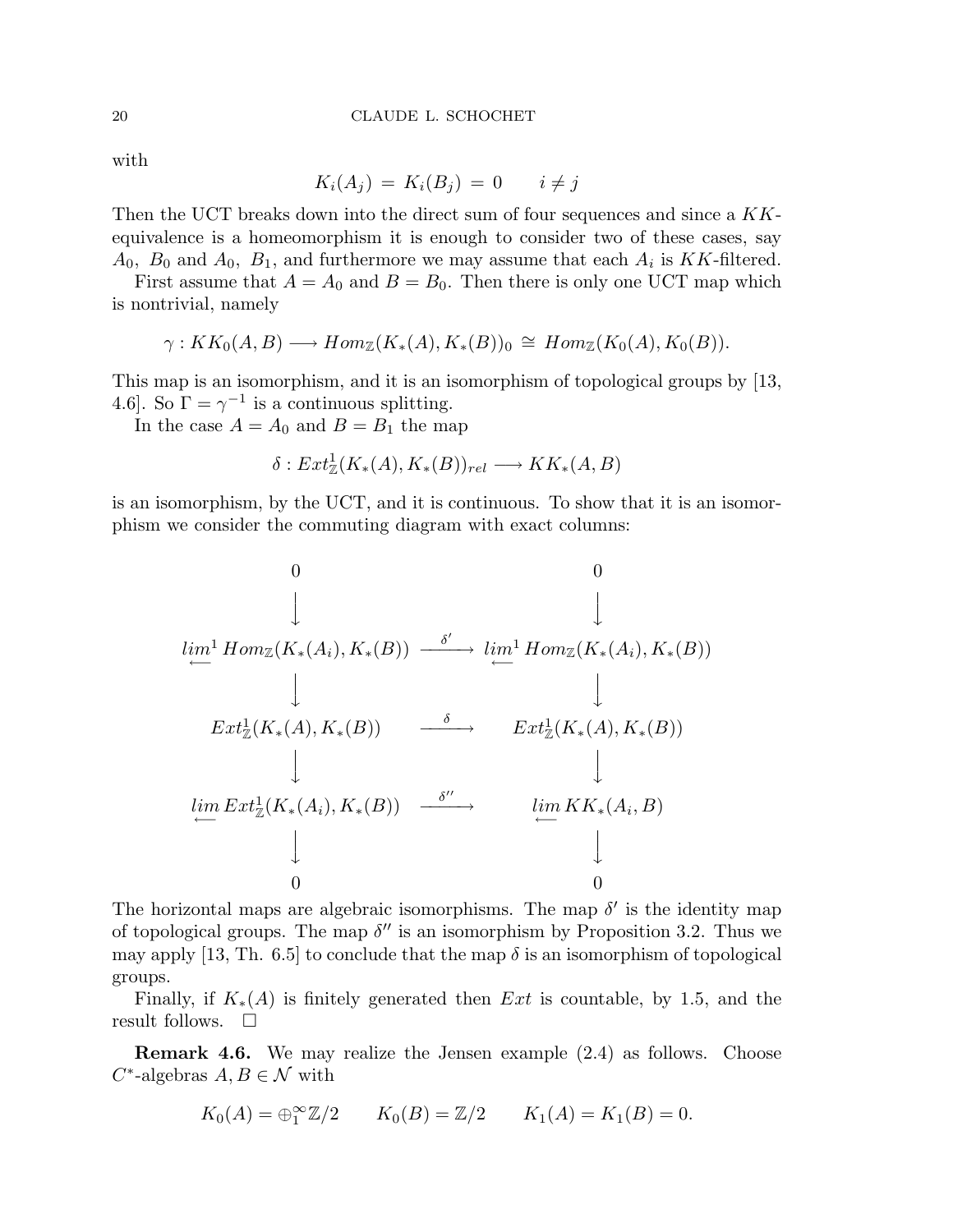with

$$
K_i(A_j) = K_i(B_j) = 0 \qquad i \neq j
$$

Then the UCT breaks down into the direct sum of four sequences and since a KKequivalence is a homeomorphism it is enough to consider two of these cases, say  $A_0$ ,  $B_0$  and  $A_0$ ,  $B_1$ , and furthermore we may assume that each  $A_i$  is KK-filtered.

First assume that  $A = A_0$  and  $B = B_0$ . Then there is only one UCT map which is nontrivial, namely

$$
\gamma: KK_0(A, B) \longrightarrow Hom_{\mathbb{Z}}(K_*(A), K_*(B))_0 \cong Hom_{\mathbb{Z}}(K_0(A), K_0(B)).
$$

This map is an isomorphism, and it is an isomorphism of topological groups by [13, 4.6]. So  $\Gamma = \gamma^{-1}$  is a continuous splitting.

In the case  $A = A_0$  and  $B = B_1$  the map

$$
\delta: Ext^1_{\mathbb{Z}}(K_*(A), K_*(B))_{rel} \longrightarrow KK_*(A, B)
$$

is an isomorphism, by the UCT, and it is continuous. To show that it is an isomorphism we consider the commuting diagram with exact columns:

$$
\begin{array}{cccc}\n & 0 & & 0 \\
& \downarrow & & \downarrow \\
& \downarrow & & \downarrow \\
& \downarrow & & \downarrow \\
& \downarrow & & \downarrow \\
& \downarrow & & \downarrow \\
& \downarrow & & \downarrow \\
& \downarrow & & \downarrow \\
& \downarrow & & \downarrow \\
& \downarrow & & \downarrow \\
& \downarrow & & \downarrow \\
& \downarrow & & \downarrow \\
& \downarrow & & \downarrow \\
& \downarrow & & \downarrow \\
& \downarrow & & \downarrow \\
& \downarrow & & \downarrow \\
& \downarrow & & \downarrow \\
& \downarrow & & \downarrow \\
& \downarrow & & \downarrow \\
& \downarrow & & \downarrow \\
& \downarrow & & \downarrow \\
& \downarrow & & \downarrow \\
& \downarrow & & \downarrow \\
& \downarrow & & \downarrow \\
& \downarrow & & \downarrow \\
& \downarrow & & \downarrow \\
& \downarrow & & \downarrow \\
& \downarrow & & \downarrow \\
& \downarrow & & \downarrow \\
& \downarrow & & \downarrow \\
& \downarrow & & \downarrow \\
& \downarrow & & \downarrow \\
& \downarrow & & \downarrow \\
& \downarrow & & \downarrow \\
& \downarrow & & \downarrow \\
& \downarrow & & \downarrow \\
& \downarrow & & \downarrow \\
& \downarrow & & \downarrow \\
& \downarrow & & \downarrow \\
& \downarrow & & \downarrow \\
& \downarrow & & \downarrow \\
& \downarrow & & \downarrow \\
& \downarrow & & \downarrow \\
& \downarrow & & \downarrow \\
& \downarrow & & \downarrow \\
& \downarrow & & \downarrow \\
& \downarrow & & \downarrow \\
&
$$

The horizontal maps are algebraic isomorphisms. The map  $\delta'$  is the identity map of topological groups. The map  $\delta''$  is an isomorphism by Proposition 3.2. Thus we may apply [13, Th. 6.5] to conclude that the map  $\delta$  is an isomorphism of topological groups.

Finally, if  $K_*(A)$  is finitely generated then Ext is countable, by 1.5, and the result follows.  $\square$ 

Remark 4.6. We may realize the Jensen example (2.4) as follows. Choose  $C^*$ -algebras  $A, B \in \mathcal{N}$  with

$$
K_0(A) = \bigoplus_{1}^{\infty} \mathbb{Z}/2
$$
  $K_0(B) = \mathbb{Z}/2$   $K_1(A) = K_1(B) = 0.$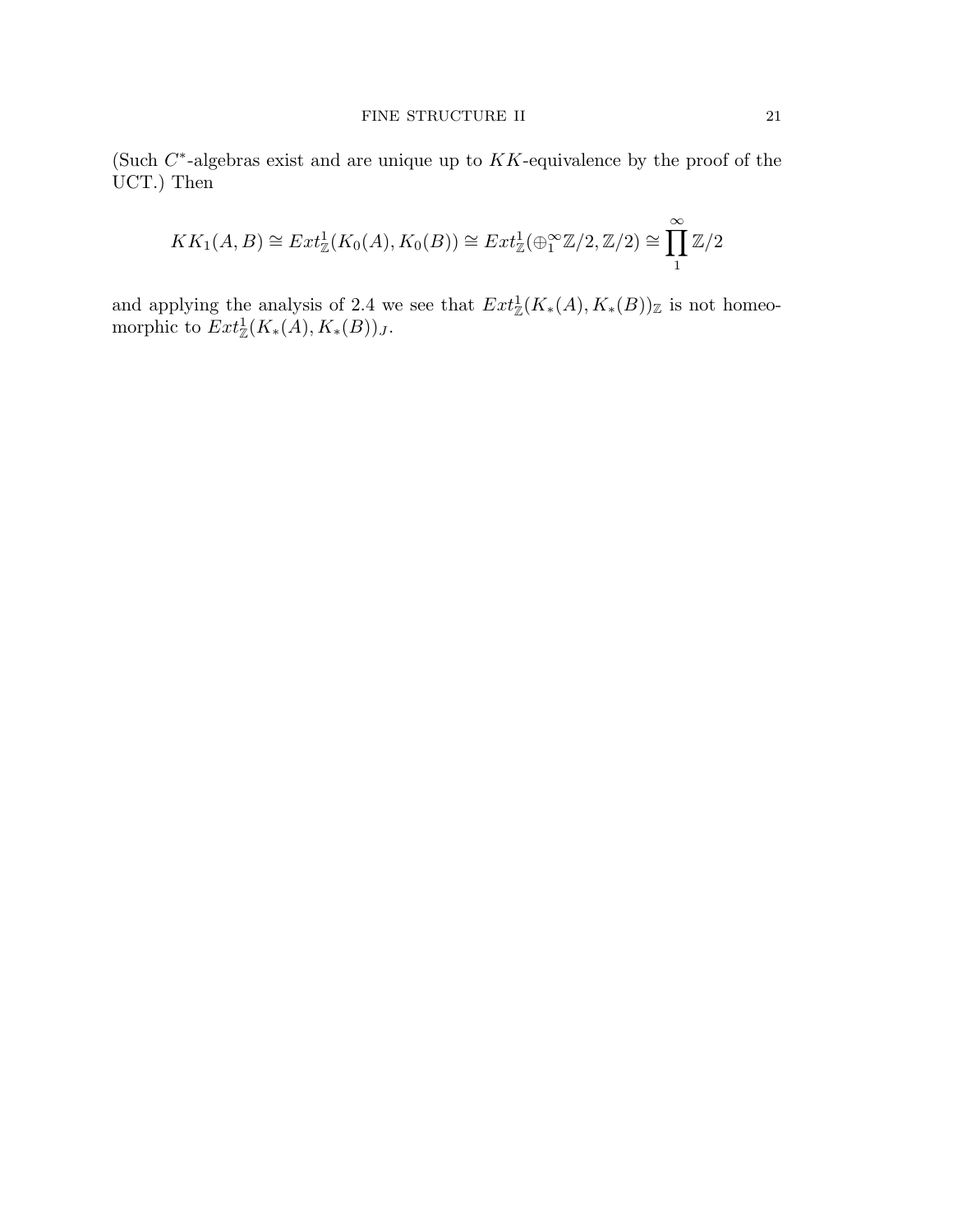(Such  $C^*$ -algebras exist and are unique up to  $KK$ -equivalence by the proof of the UCT.) Then

$$
KK_1(A, B) \cong Ext^1_{\mathbb{Z}}(K_0(A), K_0(B)) \cong Ext^1_{\mathbb{Z}}(\bigoplus_{1}^{\infty} \mathbb{Z}/2, \mathbb{Z}/2) \cong \prod_{1}^{\infty} \mathbb{Z}/2
$$

and applying the analysis of 2.4 we see that  $Ext^1_{\mathbb{Z}}(K_*(A), K_*(B))_{\mathbb{Z}}$  is not homeomorphic to  $Ext^1_{\mathbb{Z}}(K_*(A), K_*(B))_J$ .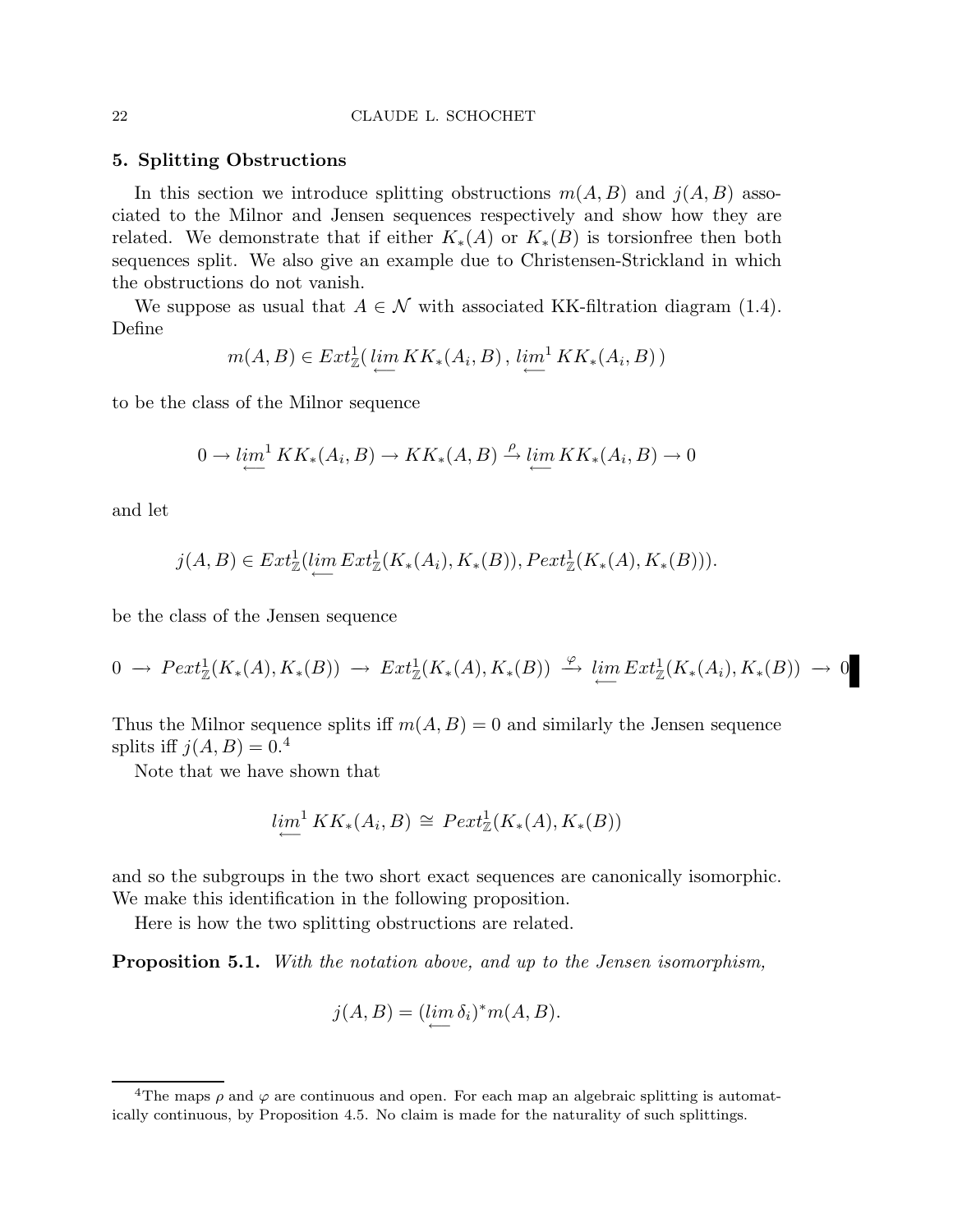# 5. Splitting Obstructions

In this section we introduce splitting obstructions  $m(A, B)$  and  $j(A, B)$  associated to the Milnor and Jensen sequences respectively and show how they are related. We demonstrate that if either  $K_*(A)$  or  $K_*(B)$  is torsionfree then both sequences split. We also give an example due to Christensen-Strickland in which the obstructions do not vanish.

We suppose as usual that  $A \in \mathcal{N}$  with associated KK-filtration diagram (1.4). Define

$$
m(A, B) \in Ext^1_{\mathbb{Z}}(\varprojlim KK_*(A_i, B), \varprojlim^1 KK_*(A_i, B))
$$

to be the class of the Milnor sequence

$$
0 \to \lim_{\longleftarrow}^1 KK_*(A_i, B) \to KK_*(A, B) \stackrel{\rho}{\to} \lim_{\longleftarrow} KK_*(A_i, B) \to 0
$$

and let

$$
j(A,B)\in Ext^1_{\mathbb{Z}}(\lim_{\longleftarrow} Ext^1_{\mathbb{Z}}(K_*(A_i),K_*(B)),Pext^1_{\mathbb{Z}}(K_*(A),K_*(B))).
$$

be the class of the Jensen sequence

$$
0 \to \text{Pext}^1_{\mathbb{Z}}(K_*(A), K_*(B)) \to \text{Ext}^1_{\mathbb{Z}}(K_*(A), K_*(B)) \xrightarrow{\varphi} \lim_{\longleftarrow} \text{Ext}^1_{\mathbb{Z}}(K_*(A_i), K_*(B)) \to 0
$$

Thus the Milnor sequence splits if  $m(A, B) = 0$  and similarly the Jensen sequence splits iff  $j(A, B) = 0.4$ 

Note that we have shown that

$$
\lim_{\longleftarrow}^1 KK_*(A_i, B) \cong \text{Pext}^1_{\mathbb{Z}}(K_*(A), K_*(B))
$$

and so the subgroups in the two short exact sequences are canonically isomorphic. We make this identification in the following proposition.

Here is how the two splitting obstructions are related.

Proposition 5.1. *With the notation above, and up to the Jensen isomorphism,*

$$
j(A, B) = (\lim_{\longleftarrow} \delta_i)^* m(A, B).
$$

<sup>&</sup>lt;sup>4</sup>The maps  $\rho$  and  $\varphi$  are continuous and open. For each map an algebraic splitting is automatically continuous, by Proposition 4.5. No claim is made for the naturality of such splittings.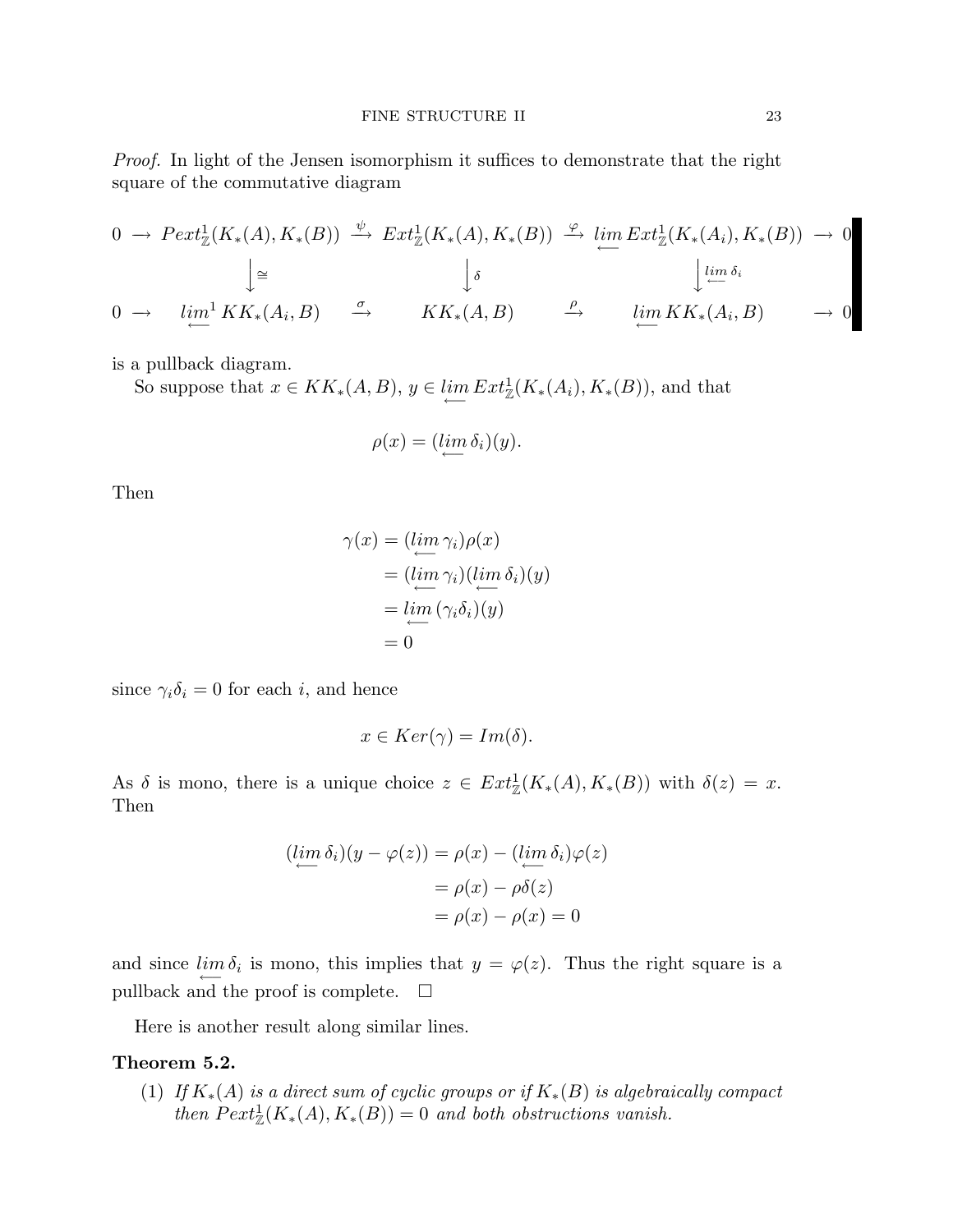*Proof.* In light of the Jensen isomorphism it suffices to demonstrate that the right square of the commutative diagram

$$
0 \to \operatorname{Pext}_{\mathbb{Z}}^1(K_*(A), K_*(B)) \xrightarrow{\psi} \operatorname{Ext}_{\mathbb{Z}}^1(K_*(A), K_*(B)) \xrightarrow{\varphi} \lim_{\longleftarrow} \operatorname{Ext}_{\mathbb{Z}}^1(K_*(A_i), K_*(B)) \to 0
$$
  

$$
\downarrow \cong \qquad \qquad \downarrow \delta
$$
  

$$
0 \to \lim_{\longleftarrow}^1 KK_*(A_i, B) \xrightarrow{\sigma} KK_*(A, B) \xrightarrow{\rho} \lim_{\longleftarrow} KK_*(A_i, B) \to 0
$$

is a pullback diagram.

So suppose that  $x \in KK_*(A, B)$ ,  $y \in \lim_{\longleftarrow} Ext^1_{\mathbb{Z}}(K_*(A_i), K_*(B))$ , and that

$$
\rho(x) = (\lim_{\longleftarrow} \delta_i)(y).
$$

Then

$$
\gamma(x) = (\lim_{i \to i} \gamma_i)\rho(x)
$$
  
=  $(\lim_{i \to i} \gamma_i)(\lim_{i \to i} \delta_i)(y)$   
=  $\lim_{i \to i} (\gamma_i \delta_i)(y)$   
= 0

since  $\gamma_i \delta_i = 0$  for each *i*, and hence

$$
x \in Ker(\gamma) = Im(\delta).
$$

As  $\delta$  is mono, there is a unique choice  $z \in Ext^1_{\mathbb{Z}}(K_*(A), K_*(B))$  with  $\delta(z) = x$ . Then

$$
(\lim_{\leftarrow} \delta_i)(y - \varphi(z)) = \rho(x) - (\lim_{\leftarrow} \delta_i)\varphi(z)
$$

$$
= \rho(x) - \rho\delta(z)
$$

$$
= \rho(x) - \rho(x) = 0
$$

and since  $\lim_{\longleftarrow} \delta_i$  is mono, this implies that  $y = \varphi(z)$ . Thus the right square is a pullback and the proof is complete.  $\quad \Box$ 

Here is another result along similar lines.

# Theorem 5.2.

(1) *If* K∗(A) *is a direct sum of cyclic groups or if* K∗(B) *is algebraically compact then*  $Pext_{\mathbb{Z}}^1(K_*(A), K_*(B)) = 0$  *and both obstructions vanish.*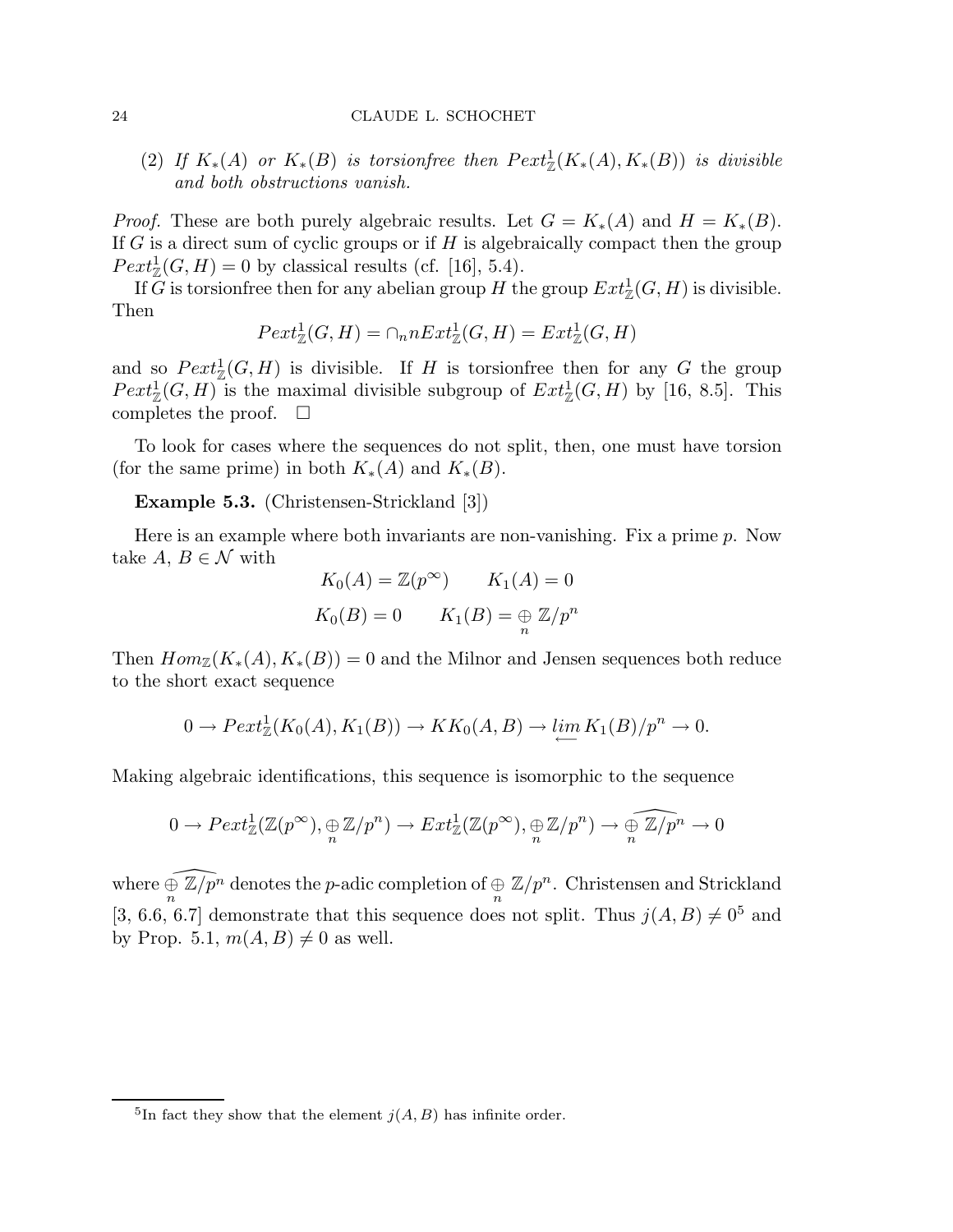(2) If  $K_*(A)$  or  $K_*(B)$  is torsionfree then  $Pext^1_\mathbb{Z}(K_*(A), K_*(B))$  is divisible *and both obstructions vanish.*

*Proof.* These are both purely algebraic results. Let  $G = K_*(A)$  and  $H = K_*(B)$ . If  $G$  is a direct sum of cyclic groups or if  $H$  is algebraically compact then the group  $Pext_{\mathbb{Z}}^1(G, H) = 0$  by classical results (cf. [16], 5.4).

If G is torsion free then for any abelian group H the group  $Ext^1_{\mathbb{Z}}(G,H)$  is divisible. Then

$$
Pext_{\mathbb{Z}}^1(G, H) = \cap_n nExt_{\mathbb{Z}}^1(G, H) = Ext_{\mathbb{Z}}^1(G, H)
$$

and so  $Pext_{\mathbb{Z}}^1(G,H)$  is divisible. If H is torsion free then for any G the group  $Pext_{\mathbb{Z}}^1(G,H)$  is the maximal divisible subgroup of  $Ext_{\mathbb{Z}}^1(G,H)$  by [16, 8.5]. This completes the proof.  $\square$ 

To look for cases where the sequences do not split, then, one must have torsion (for the same prime) in both  $K_*(A)$  and  $K_*(B)$ .

Example 5.3. (Christensen-Strickland [3])

Here is an example where both invariants are non-vanishing. Fix a prime p. Now take A,  $B \in \mathcal{N}$  with

$$
K_0(A) = \mathbb{Z}(p^{\infty}) \qquad K_1(A) = 0
$$
  

$$
K_0(B) = 0 \qquad K_1(B) = \bigoplus_n \mathbb{Z}/p^n
$$

Then  $Hom_{\mathbb{Z}}(K_*(A), K_*(B)) = 0$  and the Milnor and Jensen sequences both reduce to the short exact sequence

$$
0 \to \text{Pext}^1_{\mathbb{Z}}(K_0(A), K_1(B)) \to KK_0(A, B) \to \lim_{\longleftarrow} K_1(B)/p^n \to 0.
$$

Making algebraic identifications, this sequence is isomorphic to the sequence

$$
0 \to \text{Pext}^1_{\mathbb{Z}}(\mathbb{Z}(p^\infty), \underset{n}{\oplus} \mathbb{Z}/p^n) \to \text{Ext}^1_{\mathbb{Z}}(\mathbb{Z}(p^\infty), \underset{n}{\oplus} \mathbb{Z}/p^n) \to \widehat{\underset{n}{\oplus} \mathbb{Z}/p^n} \to 0
$$

where  $\widehat{\bigoplus_n\Z/p^n}$  denotes the p-adic completion of  $\bigoplus_n\Z/p^n$ . Christensen and Strickland [3, 6.6, 6.7] demonstrate that this sequence does not split. Thus  $j(A, B) \neq 0^5$  and by Prop. 5.1,  $m(A, B) \neq 0$  as well.

<sup>&</sup>lt;sup>5</sup>In fact they show that the element  $j(A, B)$  has infinite order.